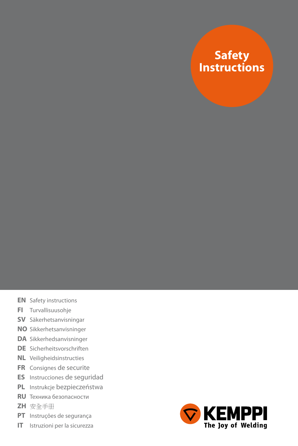### **Safety Instructions**

- **EN** Safety instructions
- **FI** Turvallisuusohje
- **SV** Säkerhetsanvisningar
- **NO** Sikkerhetsanvisninger
- **DA** Sikkerhedsanvisninger
- **DE** Sicherheitsvorschriften
- **NL** Veiligheidsinstructies
- **FR** Consignes de securite
- **ES** Instrucciones de seguridad
- **PL** Instrukcje bezpieczeństwa
- **RU** Техника безопасности
- **ZH** 安全手册
- **PT** Instruções de segurança
- **IT** Istruzioni per la sicurezza

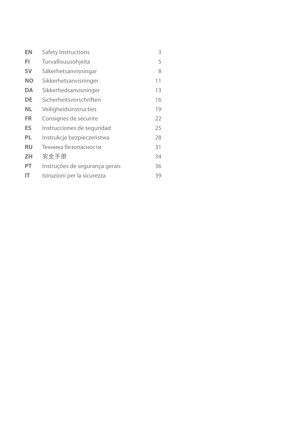| EN        | Safety Instructions            | 3  |
|-----------|--------------------------------|----|
| FI        | Turvallisuusohjeita            | 5  |
| <b>SV</b> | Säkerhetsanvisningar           | 8  |
| <b>NO</b> | Sikkerhetsanvisninger          | 11 |
| DA        | Sikkerhedsanvisninger          | 13 |
| DE        | Sicherheitsvorschriften        | 16 |
| NL.       | Veiligheidsinstructies         | 19 |
| FR        | Consignes de securite          | 22 |
| ES        | Instrucciones de seguridad     | 25 |
| PL        | Instrukcje bezpieczeństwa      | 28 |
| RU        | Техника безопасности           | 31 |
| ZΗ        | 安全手册                           | 34 |
| PT        | Instruções de segurança gerais | 36 |
| IΤ        | Istruzioni per la sicurezza    | 39 |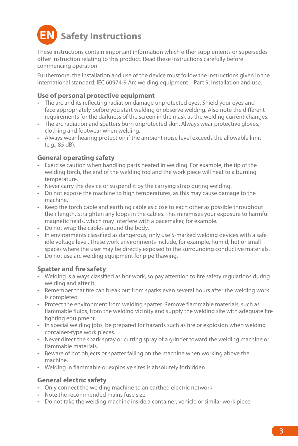# **Safety Instructions**

These instructions contain important information which either supplements or supersedes other instruction relating to this product. Read these instructions carefully before commencing operation.

Furthermore, the installation and use of the device must follow the instructions given in the international standard: IEC 60974-9 Arc welding equipment – Part 9: Installation and use.

#### **Use of personal protective equipment**

- The arc and its reflecting radiation damage unprotected eyes. Shield your eyes and face appropriately before you start welding or observe welding. Also note the different requirements for the darkness of the screen in the mask as the welding current changes.
- • The arc radiation and spatters burn unprotected skin. Always wear protective gloves, clothing and footwear when welding.
- • Always wear hearing protection if the ambient noise level exceeds the allowable limit (e.g., 85 dB).

#### **General operating safety**

- Exercise caution when handling parts heated in welding. For example, the tip of the welding torch, the end of the welding rod and the work piece will heat to a burning temperature.
- Never carry the device or suspend it by the carrying strap during welding.
- • Do not expose the machine to high temperatures, as this may cause damage to the machine.
- • Keep the torch cable and earthing cable as close to each other as possible throughout their length. Straighten any loops in the cables. This minimises your exposure to harmful magnetic fields, which may interfere with a pacemaker, for example.
- • Do not wrap the cables around the body.
- In environments classified as dangerous, only use S-marked welding devices with a safe idle voltage level. These work environments include, for example, humid, hot or small spaces where the user may be directly exposed to the surrounding conductive materials.
- • Do not use arc welding equipment for pipe thawing.

#### **Spatter and fire safety**

- Welding is always classified as hot work, so pay attention to fire safety regulations during welding and after it.
- Remember that fire can break out from sparks even several hours after the welding work is completed.
- • Protect the environment from welding spatter. Remove flammable materials, such as flammable fluids, from the welding vicinity and supply the welding site with adequate fire fighting equipment.
- • In special welding jobs, be prepared for hazards such as fire or explosion when welding container-type work pieces.
- Never direct the spark spray or cutting spray of a grinder toward the welding machine or flammable materials.
- • Beware of hot objects or spatter falling on the machine when working above the machine.
- • Welding in flammable or explosive sites is absolutely forbidden.

#### **General electric safety**

- • Only connect the welding machine to an earthed electric network.
- • Note the recommended mains fuse size.
- • Do not take the welding machine inside a container, vehicle or similar work piece.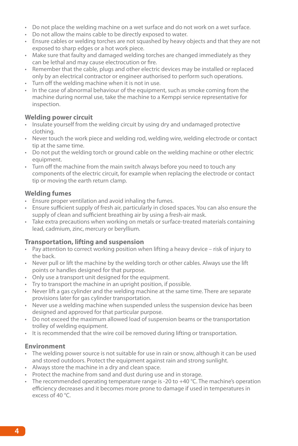- • Do not place the welding machine on a wet surface and do not work on a wet surface.
- • Do not allow the mains cable to be directly exposed to water.
- • Ensure cables or welding torches are not squashed by heavy objects and that they are not exposed to sharp edges or a hot work piece.
- Make sure that faulty and damaged welding torches are changed immediately as they can be lethal and may cause electrocution or fire.
- • Remember that the cable, plugs and other electric devices may be installed or replaced only by an electrical contractor or engineer authorised to perform such operations.
- Turn off the welding machine when it is not in use.
- • In the case of abnormal behaviour of the equipment, such as smoke coming from the machine during normal use, take the machine to a Kemppi service representative for inspection.

#### **Welding power circuit**

- Insulate yourself from the welding circuit by using dry and undamaged protective clothing.
- Never touch the work piece and welding rod, welding wire, welding electrode or contact tip at the same time.
- Do not put the welding torch or ground cable on the welding machine or other electric equipment.
- Turn off the machine from the main switch always before you need to touch any components of the electric circuit, for example when replacing the electrode or contact tip or moving the earth return clamp.

#### **Welding fumes**

- • Ensure proper ventilation and avoid inhaling the fumes.
- • Ensure sufficient supply of fresh air, particularly in closed spaces. You can also ensure the supply of clean and sufficient breathing air by using a fresh-air mask.
- Take extra precautions when working on metals or surface-treated materials containing lead, cadmium, zinc, mercury or beryllium.

#### **Transportation, lifting and suspension**

- • Pay attention to correct working position when lifting a heavy device risk of injury to the back.
- • Never pull or lift the machine by the welding torch or other cables. Always use the lift points or handles designed for that purpose.
- • Only use a transport unit designed for the equipment.
- • Try to transport the machine in an upright position, if possible.
- Never lift a gas cylinder and the welding machine at the same time. There are separate provisions later for gas cylinder transportation.
- • Never use a welding machine when suspended unless the suspension device has been designed and approved for that particular purpose.
- Do not exceed the maximum allowed load of suspension beams or the transportation trolley of welding equipment.
- It is recommended that the wire coil be removed during lifting or transportation.

#### **Environment**

- • The welding power source is not suitable for use in rain or snow, although it can be used and stored outdoors. Protect the equipment against rain and strong sunlight.
- • Always store the machine in a dry and clean space.
- Protect the machine from sand and dust during use and in storage.
- The recommended operating temperature range is -20 to +40  $\widetilde{C}$ . The machine's operation efficiency decreases and it becomes more prone to damage if used in temperatures in excess of 40 °C.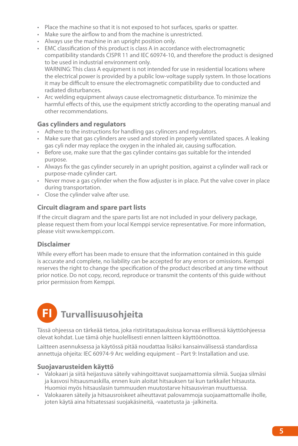- • Place the machine so that it is not exposed to hot surfaces, sparks or spatter.
- • Make sure the airflow to and from the machine is unrestricted.
- • Always use the machine in an upright position only.
- EMC classification of this product is class A in accordance with electromagnetic compatibility standards CISPR 11 and IEC 60974-10, and therefore the product is designed to be used in industrial environment only. WARNING: This class A equipment is not intended for use in residential locations where the electrical power is provided by a public low-voltage supply system. In those locations it may be difficult to ensure the electromagnetic compatibility due to conducted and radiated disturbances.
- • Arc welding equipment always cause electromagnetic disturbance. To minimize the harmful effects of this, use the equipment strictly according to the operating manual and other recommendations.

#### **Gas cylinders and regulators**

- Adhere to the instructions for handling gas cylincers and regulators.
- Make sure that gas cylinders are used and stored in properly ventilated spaces. A leaking gas cyli nder may replace the oxygen in the inhaled air, causing suffocation.
- Before use, make sure that the gas cylinder contains gas suitable for the intended purpose.
- • Always fix the gas cylinder securely in an upright position, against a cylinder wall rack or purpose-made cylinder cart.
- • Never move a gas cylinder when the flow adjuster is in place. Put the valve cover in place during transportation.
- • Close the cylinder valve after use.

#### **Circuit diagram and spare part lists**

If the circuit diagram and the spare parts list are not included in your delivery package, please request them from your local Kemppi service representative. For more information, please visit www.kemppi.com.

#### **Disclaimer**

While every effort has been made to ensure that the information contained in this guide is accurate and complete, no liability can be accepted for any errors or omissions. Kemppi reserves the right to change the specification of the product described at any time without prior notice. Do not copy, record, reproduce or transmit the contents of this guide without prior permission from Kemppi.

## **FI Turvallisuusohjeita**

Tässä ohjeessa on tärkeää tietoa, joka ristiriitatapauksissa korvaa erillisessä käyttöohjeessa olevat kohdat. Lue tämä ohje huolellisesti ennen laitteen käyttöönottoa.

Laitteen asennuksessa ja käytössä pitää noudattaa lisäksi kansainvälisessä standardissa annettuja ohjeita: IEC 60974-9 Arc welding equipment – Part 9: Installation and use.

#### **Suojavarusteiden käyttö**

- • Valokaari ja siitä heijastuva säteily vahingoittavat suojaamattomia silmiä. Suojaa silmäsi ja kasvosi hitsausmaskilla, ennen kuin aloitat hitsauksen tai kun tarkkailet hitsausta. Huomioi myös hitsauslasin tummuuden muutostarve hitsausvirran muuttuessa.
- • Valokaaren säteily ja hitsausroiskeet aiheuttavat palovammoja suojaamattomalle iholle, joten käytä aina hitsatessasi suojakäsineitä, -vaatetusta ja -jalkineita.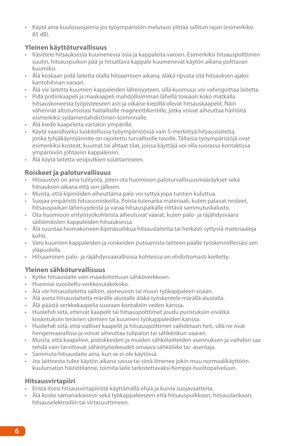• Käytä aina kuulosuojaimia jos työympäristön melutaso ylittää sallitun rajan (esimerkiksi 85 dB).

#### **Yleinen käyttöturvallisuus**

- • Käsittele hitsauksessa kuumenevia osia ja kappaleita varoen. Esimerkiksi hitsauspolttimen suutin, hitsauspuikon pää ja hitsattava kappale kuumenevat käytön aikana polttavan kuumiksi.
- • Älä koskaan pidä laitetta olalla hitsaamisen aikana, äläkä ripusta sitä hitsauksen ajaksi kantohihnan varaan.
- Älä vie laitetta kuumien kappaleiden läheisyyteen, sillä kuumuus voi vahingoittaa laitetta.
- • Pidä poltinkaapeli ja maakaapeli mahdollisimman lähellä toisiaan koko matkalla hitsauskoneesta työpisteeseen asti ja oikaise kiepillä olevat hitsauskaapelit. Näin vähennät altistumistasi haitallisille magneettikentille, jotka voivat aiheuttaa häiriöitä esimerkiksi sydämentahdistimen toiminnalle.
- • Älä kiedo kaapeleita vartalon ympärille.
- • Käytä vaaralliseksi luokitellussa työympäristössä vain S-merkittyä hitsauslaitetta, jonka tyhjäkäyntijännite on rajoitettu turvalliselle tasolle. Tällaisia työympäristöjä ovat esimerkiksi kosteat, kuumat tai ahtaat tilat, joissa käyttäjä voi olla suorassa kontaktissa ympäröiviin johtaviin kappaleisiin.
- • Älä käytä laitetta vesiputkien sulattamiseen.

#### **Roiskeet ja paloturvallisuus**

- • Hitsaustyö on aina tulityötä, joten ota huomioon paloturvallisuusmääräykset sekä hitsauksen aikana että sen jälkeen.
- • Muista, että kipinöiden aiheuttama palo voi syttyä jopa tuntien kuluttua.
- • Suojaa ympäristö hitsausroiskeilta. Poista tulenarka materiaali, kuten palavat nesteet, hitsauspaikan läheisyydestä ja varaa hitsauspaikalle riittävä sammutuskalusto.
- • Ota huomioon erityistyökohteista aiheutuvat vaarat, kuten palo- ja räjähdysvaara säiliömäisten kappaleiden hitsauksessa.
- • Älä suuntaa hiomakoneen kipinäsuihkua hitsauslaitetta tai herkästi syttyviä materiaaleja kohti.
- • Varo kuumien kappaleiden ja roiskeiden putoamista laitteen päälle työskennellessäsi sen yläpuolella.
- • Hitsaaminen palo- ja räjähdysvaarallisissa kohteissa on ehdottomasti kielletty.

#### **Yleinen sähköturvallisuus**

- • Kytke hitsauslaite vain maadoitettuun sähköverkkoon.
- • Huomioi suositeltu verkkosulakekoko.
- • Älä vie hitsauslaitetta säiliön, ajoneuvon tai muun työkappaleen sisään.
- • Älä aseta hitsauslaitetta märälle alustalle äläkä työskentele märällä alustalla.
- • Älä päästä verkkokaapelia suoraan kontaktiin veden kanssa.
- • Huolehdi siitä, etteivät kaapelit tai hitsauspolttimet joudu puristuksiin eivätkä kosketuksiin terävien särmien tai kuumien työkappaleiden kanssa.
- • Huolehdi siitä, että vialliset kaapelit ja hitsauspolttimet vaihdetaan heti, sillä ne ovat hengenvaarallisia ja voivat aiheuttaa tulipalon tai sähköiskun vaaran.
- • Muista, että kaapelien, pistokkeiden ja muiden sähkölaitteiden asennuksen ja vaihdon saa tehdä vain tarvittavat sähkötyöoikeudet omaava sähköliike tai -asentaja.
- • Sammuta hitsauslaite aina, kun se ei ole käytössä.
- • Jos laitteesta tulee käytön aikana savua tai siinä ilmenee jokin muu normaalikäyttöön kuulumaton häiriötilanne, toimita laite tarkistettavaksi Kemppi-huoltopalveluun.

#### **Hitsausvirtapiiri**

- • Eristä itsesi hitsausvirtapiiristä käyttämällä ehjiä ja kuivia suojavaatteita.
- • Älä koske samanaikaisesti sekä työkappaleeseen että hitsauspuikkoon, hitsauslankaan, hitsauselektrodiin tai virtasuuttimeen.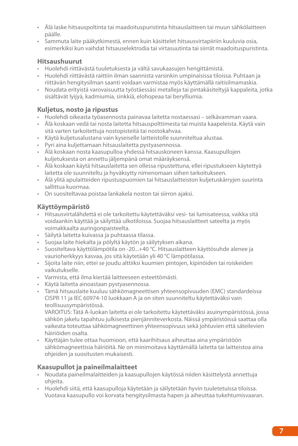- • Älä laske hitsauspoltinta tai maadoituspuristinta hitsauslaitteen tai muun sähkölaitteen päälle.
- • Sammuta laite pääkytkimestä, ennen kuin käsittelet hitsausvirtapiiriin kuuluvia osia, esimerkiksi kun vaihdat hitsauselektrodia tai virtasuutinta tai siirrät maadoituspuristinta.

#### **Hitsaushuurut**

- • Huolehdi riittävästä tuuletuksesta ja vältä savukaasujen hengittämistä.
- • Huolehdi riittävästä raittiin ilman saannista varsinkin umpinaisissa tiloissa. Puhtaan ja riittävän hengitysilman saanti voidaan varmistaa myös käyttämällä raitisilmamaskia.
- • Noudata erityistä varovaisuutta työstäessäsi metalleja tai pintakäsiteltyjä kappaleita, jotka sisältävät lyijyä, kadmiumia, sinkkiä, elohopeaa tai berylliumia.

#### **Kuljetus, nosto ja ripustus**

- • Huolehdi oikeasta työasennosta painavaa laitetta nostaessasi selkävamman vaara.
- • Älä koskaan vedä tai nosta laitetta hitsauspolttimesta tai muista kaapeleista. Käytä vain sitä varten tarkoitettuja nostopisteitä tai nostokahvaa.
- • Käytä kuljetusalustana vain kyseiselle laitteistolle suunniteltua alustaa.
- • Pyri aina kuljettamaan hitsauslaitetta pystyasennossa.
- • Älä koskaan nosta kaasupulloa yhdessä hitsauskoneen kanssa. Kaasupullojen kuljetuksesta on annettu jäljempänä omat määräyksensä.
- • Älä koskaan käytä hitsauslaitetta sen ollessa ripustettuna, ellei ripustukseen käytettyä laitetta ole suunniteltu ja hyväksytty nimenomaan siihen tarkoitukseen.
- • Älä ylitä apulaitteiden ripustuspuomien tai hitsauslaitteiston kuljetuskärryjen suurinta sallittua kuormaa.
- • On suositeltavaa poistaa lankakela noston tai siirron ajaksi.

#### **Käyttöympäristö**

- • Hitsausvirtalähdettä ei ole tarkoitettu käytettäväksi vesi- tai lumisateessa, vaikka sitä voidaankin käyttää ja säilyttää ulkotiloissa. Suojaa hitsauslaitteet sateelta ja myös voimakkaalta auringonpaisteelta.
- • Säilytä laitetta kuivassa ja puhtaassa tilassa.
- • Suojaa laite hiekalta ja pölyltä käytön ja säilytyksen aikana.
- Suositeltava käyttölämpötila on -20... $+40$  °C. Hitsauslaitteen käyttösuhde alenee ja vaurioherkkyys kasvaa, jos sitä käytetään yli 40 °C lämpötilassa.
- • Sijoita laite niin, ettei se joudu alttiiksi kuumien pintojen, kipinöiden tai roiskeiden vaikutukselle.
- • Varmista, että ilma kiertää laitteeseen esteettömästi.
- • Käytä laitetta ainoastaan pystyasennossa.
- • Tämä hitsauslaite kuuluu sähkömagneettisen yhteensopivuuden (EMC) standardeissa CISPR 11 ja IEC 60974-10 luokkaan A ja on siten suunniteltu käytettäväksi vain teollisuusympäristössä.

VAROITUS: Tätä A-luokan laitetta ei ole tarkoitettu käytettäväksi asuinympäristössä, jossa sähkön jakelu tapahtuu julkisesta pienjänniteverkosta. Näissä ympäristöissä saattaa olla vaikeata toteuttaa sähkömagneettinen yhteensopivuus sekä johtuvien että säteilevien häiriöiden osalta.

• Käyttäjän tulee ottaa huomioon, että kaarihitsaus aiheuttaa aina ympäristöön sähkömagneettisia häiriöitä. Ne on minimoitava käyttämällä laitetta tai laitteistoa aina ohjeiden ja suositusten mukaisesti.

#### **Kaasupullot ja paineilmalaitteet**

- • Noudata paineilmalaitteiden ja kaasupullojen käytössä niiden käsittelystä annettuja ohjeita.
- • Huolehdi siitä, että kaasupulloja käytetään ja säilytetään hyvin tuuletetuissa tiloissa. Vuotava kaasupullo voi korvata hengitysilmasta hapen ja aiheuttaa tukehtumisvaaran.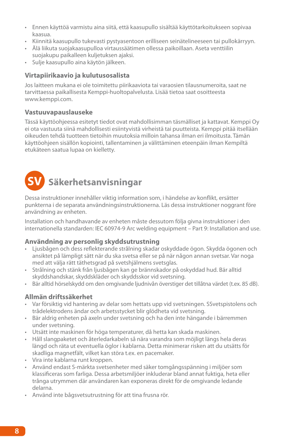- • Ennen käyttöä varmistu aina siitä, että kaasupullo sisältää käyttötarkoitukseen sopivaa kaasua.
- • Kiinnitä kaasupullo tukevasti pystyasentoon erilliseen seinätelineeseen tai pullokärryyn.
- • Älä liikuta suojakaasupulloa virtaussäätimen ollessa paikoillaan. Aseta venttiilin
- suojakupu paikalleen kuljetuksen ajaksi.
- • Sulje kaasupullo aina käytön jälkeen.

#### **Virtapiirikaavio ja kulutusosalista**

Jos laitteen mukana ei ole toimitettu piirikaaviota tai varaosien tilausnumeroita, saat ne tarvittaessa paikallisesta Kemppi-huoltopalvelusta. Lisää tietoa saat osoitteesta www.kemppi.com.

#### **Vastuuvapauslauseke**

Tässä käyttöohjeessa esitetyt tiedot ovat mahdollisimman täsmälliset ja kattavat. Kemppi Oy ei ota vastuuta siinä mahdollisesti esiintyvistä virheistä tai puutteista. Kemppi pitää itsellään oikeuden tehdä tuotteen tietoihin muutoksia milloin tahansa ilman eri ilmoitusta. Tämän käyttöohjeen sisällön kopiointi, tallentaminen ja välittäminen eteenpäin ilman Kempiltä etukäteen saatua lupaa on kielletty.

### **SV Säkerhetsanvisningar**

Dessa instruktioner innehåller viktig information som, i händelse av konflikt, ersätter punkterna i de separata användningsinstruktionerna. Läs dessa instruktioner noggrant före användning av enheten.

Installation och handhavande av enheten måste dessutom följa givna instruktioner i den internationella standarden: IEC 60974-9 Arc welding equipment – Part 9: Installation and use.

#### **Användning av personlig skyddsutrustning**

- Ljusbågen och dess reflekterande strålning skadar oskyddade ögon. Skydda ögonen och ansiktet på lämpligt sätt när du ska svetsa eller se på när någon annan svetsar. Var noga med att välja rätt täthetsgrad på svetshjälmens svetsglas.
- • Strålning och stänk från ljusbågen kan ge brännskador på oskyddad hud. Bär alltid skyddshandskar, skyddskläder och skyddsskor vid svetsning.
- • Bär alltid hörselskydd om den omgivande ljudnivån överstiger det tillåtna värdet (t.ex. 85 dB).

#### **Allmän driftssäkerhet**

- • Var försiktig vid hantering av delar som hettats upp vid svetsningen. SSvetspistolens och trådelektrodens ändar och arbetsstycket blir glödheta vid svetsning.
- • Bär aldrig enheten på axeln under svetsning och ha den inte hängande i bärremmen under svetsning.
- • Utsätt inte maskinen för höga temperaturer, då hetta kan skada maskinen.
- • Håll slangpaketet och återledarkabeln så nära varandra som möjligt längs hela deras längd och räta ut eventuella öglor i kablarna. Detta minimerar risken att du utsätts för skadliga magnetfält, vilket kan störa t.ex. en pacemaker.
- • Vira inte kablarna runt kroppen.
- • Använd endast S-märkta svetsenheter med säker tomgångsspänning i miljöer som klassificeras som farliga. Dessa arbetsmiljöer inkluderar bland annat fuktiga, heta eller trånga utrymmen där användaren kan exponeras direkt för de omgivande ledande delarna.
- • Använd inte bågsvetsutrustning för att tina frusna rör.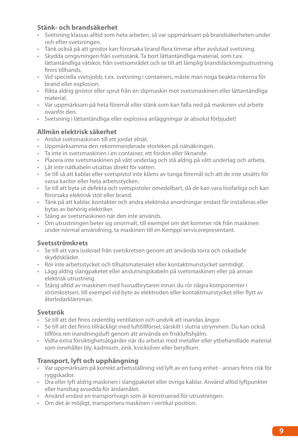#### **Stänk- och brandsäkerhet**

- • Svetsning klassas alltid som heta arbeten, så var uppmärksam på brandsäkerheten under och efter svetsningen.
- • Tänk också på att gnistor kan förorsaka brand flera timmar efter avslutad svetsning.
- • Skydda omgivningen från svetsstänk. Ta bort lättantändliga material, som t.ex. lättantändliga vätskor, från svetsområdet och se till att lämplig brandsläckningsutrustning finns tillhands.
- • Vid speciella svetsjobb, t.ex. svetsning i containers, måste man noga beakta riskerna för brand eller explosion.
- • Rikta aldrig gnistor eller sprut från en slipmaskin mot svetsmaskinen eller lättantändliga material.
- • Var uppmärksam på heta föremål eller stänk som kan falla ned på maskinen vid arbete ovanför den.
- • Svetsning i lättantändliga eller explosiva anläggningar är absolut förbjudet!

#### **Allmän elektrisk säkerhet**

- • Anslut svetsmaskinen till ett jordat elnät.
- • Uppmärksamma den rekommenderade storleken på nätsäkringen.
- • Ta inte in svetsmaskinen i en container, ett fordon eller liknande.
- • Placera inte svetsmaskinen på vått underlag och stå aldrig på vått underlag och arbeta.
- • Låt inte nätkabeln utsättas direkt för vatten.
- • Se till så att kablar eller svetspistol inte kläms av tunga föremål och att de inte utsätts för vassa kanter eller heta arbetsstycken.
- Se till att byta ut defekta och svetspistoler omedelbart, då de kan vara livsfarliga och kan förorsaka elektrisk stöt eller brand.
- • Tänk på att kablar, kontakter och andra elektriska anordningar endast får installeras eller bytas av behörig elektriker.
- • Stäng av svetsmaskinen när den inte används.
- • Om utrustningen beter sig onormalt, till exempel om det kommer rök från maskinen under normal användning, ta maskinen till en Kemppi servicerepresentant.

#### **Svetsströmkrets**

- • Se till att vara isolerad från svetskretsen genom att använda torra och oskadade skyddskläder.
- • Rör inte arbetsstycket och tillsatsmaterialet eller kontaktmunstycket samtidigt.
- • Lägg aldrig slangpaketet eller anslutningskabeln på svetsmaskinen eller på annan elektrisk utrustning.
- • Stäng alltid av maskinen med huvudbrytaren innan du rör några komponenter i strömkretsen, till exempel vid byte av elektroden eller kontaktmunstycket eller flytt av återledarklämman.

#### **Svetsrök**

- • Se till att det finns ordentlig ventilation och undvik att inandas ångor.
- • Se till att det finns tillräckligt med lufttillförsel, särskilt i slutna utrymmen. Du kan också tillföra ren inandningsluft genom att använda en friskluftshjälm.
- • Vidta extra försiktighetsåtgärder när du arbetar med metaller eller ytbehandlade material som innehåller bly, kadmium, zink, kvicksilver eller beryllium.

#### **Transport, lyft och upphängning**

- • Var uppmärksam på korrekt arbetsställning vid lyft av en tung enhet annars finns risk för ryggskador.
- • Dra eller lyft aldrig maskinen i slangpaketet eller övriga kablar. Använd alltid lyftpunkter eller handtag avsedda för ändamålet.
- • Använd endast en transportvagn som är konstruerad för utrustningen.
- • Om det är möjligt, transportera maskinen i vertikal position.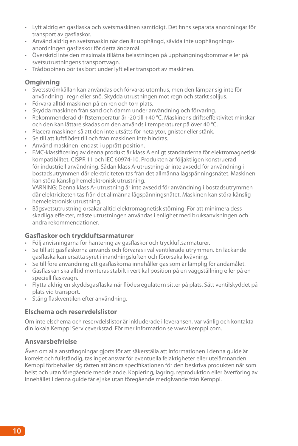- • Lyft aldrig en gasflaska och svetsmaskinen samtidigt. Det finns separata anordningar för transport av gasflaskor.
- • Använd aldrig en svetsmaskin när den är upphängd, såvida inte upphängningsanordningen gasflaskor för detta ändamål.
- • Överskrid inte den maximala tillåtna belastningen på upphängningsbommar eller på svetsutrustningens transportvagn.
- • Trådbobinen bör tas bort under lyft eller transport av maskinen.

#### **Omgivning**

- • Svetsströmkällan kan användas och förvaras utomhus, men den lämpar sig inte för användning i regn eller snö. Skydda utrustningen mot regn och starkt solljus.
- • Förvara alltid maskinen på en ren och torr plats.
- • Skydda maskinen från sand och damm under användning och förvaring.
- • Rekommenderad driftstemperatur är -20 till +40 °C. Maskinens driftseffektivitet minskar och den kan lättare skadas om den används i temperaturer på över 40 °C.
- • Placera maskinen så att den inte utsätts för heta ytor, gnistor eller stänk.
- • Se till att luftflödet till och från maskinen inte hindras.
- • Använd maskinen endast i upprätt position.
- • EMC-klassificering av denna produkt är klass A enligt standarderna för elektromagnetisk kompatibilitet, CISPR 11 och IEC 60974-10. Produkten är följaktligen konstruerad för industriell användning. Sådan klass A-utrustning är inte avsedd för användning i bostadsutrymmen där elektriciteten tas från det allmänna lågspänningsnätet. Maskinen kan störa känslig hemelektronisk utrustning.

VARNING: Denna klass A- utrustning är inte avsedd för användning i bostadsutrymmen där elektriciteten tas från det allmänna lågspänningsnätet. Maskinen kan störa känslig hemelektronisk utrustning.

• Bågsvetsutrustning orsakar alltid elektromagnetisk störning. För att minimera dess skadliga effekter, måste utrustningen användas i enlighet med bruksanvisningen och andra rekommendationer.

#### **Gasflaskor och tryckluftsarmaturer**

- • Följ anvisningarna för hantering av gasflaskor och tryckluftsarmaturer.
- • Se till att gasflaskorna används och förvaras i väl ventilerade utrymmen. En läckande gasflaska kan ersätta syret i inandningsluften och förorsaka kvävning.
- • Se till före användning att gasflaskorna innehåller gas som är lämplig för ändamålet.
- • Gasflaskan ska alltid monteras stabilt i vertikal position på en väggställning eller på en speciell flaskvagn.
- • Flytta aldrig en skyddsgasflaska när flödesregulatorn sitter på plats. Sätt ventilskyddet på plats vid transport.
- • Stäng flaskventilen efter användning.

#### **Elschema och reservdelslistor**

Om inte elschema och reservdelslistor är inkluderade i leveransen, var vänlig och kontakta din lokala Kemppi Serviceverkstad. För mer information se www.kemppi.com.

#### **Ansvarsbefrielse**

Även om alla ansträngningar gjorts för att säkerställa att informationen i denna guide är korrekt och fullständig, tas inget ansvar för eventuella felaktigheter eller utelämnanden. Kemppi förbehåller sig rätten att ändra specifikationen för den beskriva produkten när som helst och utan föregående meddelande. Kopiering, lagring, reproduktion eller överföring av innehållet i denna guide får ej ske utan föregående medgivande från Kemppi.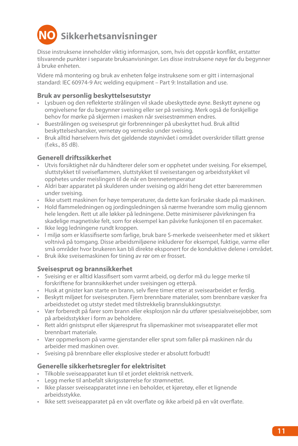# **NO Sikkerhetsanvisninger**

Disse instruksene inneholder viktig informasjon, som, hvis det oppstår konflikt, erstatter tilsvarende punkter i separate bruksanvisninger. Les disse instruksene nøye før du begynner å bruke enheten.

Videre må montering og bruk av enheten følge instruksene som er gitt i internasjonal standard: IEC 60974-9 Arc welding equipment – Part 9: Installation and use.

#### **Bruk av personlig beskyttelsesutstyr**

- • Lysbuen og den reflekterte strålingen vil skade ubeskyttede øyne. Beskytt øynene og omgivelsene før du begynner sveising eller ser på sveising. Merk også de forskjellige behov for mørke på skjermen i masken når sveisestrømmen endres.
- • Buestrålingen og sveisesprut gir forbrenninger på ubeskyttet hud. Bruk alltid beskyttelseshansker, vernetøy og vernesko under sveising.
- • Bruk alltid hørselvern hvis det gjeldende støynivået i området overskrider tillatt grense (f.eks., 85 dB).

#### **Generell driftssikkerhet**

- • Utvis forsiktighet når du håndterer deler som er opphetet under sveising. For eksempel, sluttstykket til sveiseflammen, sluttstykket til sveisestangen og arbeidsstykket vil opphetes under meislingen til de når en brennetemperatur
- • Aldri bær apparatet på skulderen under sveising og aldri heng det etter bæreremmen under sveising.
- • Ikke utsett maskinen for høye temperaturer, da dette kan forårsake skade på maskinen.
- • Hold flammeledningen og jordingsledningen så nærme hverandre som mulig gjennom hele lengden. Rett ut alle løkker på ledningene. Dette minimiserer påvirkningen fra skadelige magnetiske felt, som for eksempel kan påvirke funksjonen til en pacemaker.
- • Ikke legg ledningene rundt kroppen.
- • I miljø som er klassifiserte som farlige, bruk bare S-merkede sveiseenheter med et sikkert voltnivå på tomgang. Disse arbeidsmiljøene inkluderer for eksempel, fuktige, varme eller små områder hvor brukeren kan bli direkte eksponert for de konduktive delene i området.
- • Bruk ikke sveisemaskinen for tining av rør om er frosset.

#### **Sveisesprut og brannsikkerhet**

- • Sveising er er alltid klassifisert som varmt arbeid, og derfor må du legge merke til forskriftene for brannsikkerhet under sveisingen og etterpå.
- • Husk at gnister kan starte en brann, selv flere timer etter at sveisearbeidet er ferdig.
- • Beskytt miljøet for sveisespruten. Fjern brennbare materialer, som brennbare væsker fra arbeidsstedet og utstyr stedet med tilstrekkelig brannslukkingsutstyr.
- • Vær forberedt på farer som brann eller eksplosjon når du utfører spesialsveisejobber, som på arbeidsstykker i form av beholdere.
- • Rett aldri gnistsprut eller skjæresprut fra slipemaskiner mot sviseapparatet eller mot brennbart materiale.
- • Vær oppmerksom på varme gjenstander eller sprut som faller på maskinen når du arbeider med maskinen over.
- • Sveising på brennbare eller eksplosive steder er absolutt forbudt!

#### **Generelle sikkerhetsregler for elektrisitet**

- • Tilkoble sveiseapparatet kun til et jordet elektrisk nettverk.
- • Legg merke til anbefalt sikrigsstørrelse for strømnettet.
- • Ikke plasser sveiseapparatet inne i en beholder, et kjøretøy, eller et lignende arbeidsstykke.
- • Ikke sett sveiseapparatet på en våt overflate og ikke arbeid på en våt overflate.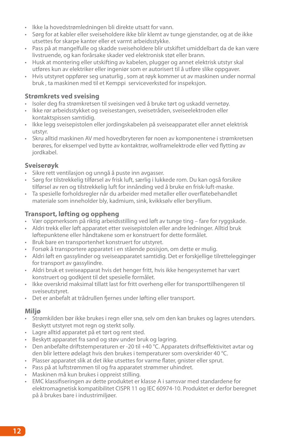- • Ikke la hovedstrømledningen bli direkte utsatt for vann.
- • Sørg for at kabler eller sveiseholdere ikke blir klemt av tunge gjenstander, og at de ikke utsettes for skarpe kanter eller et varmt arbeidsstykke.
- • Pass på at mangelfulle og skadde sveiseholdere blir utskiftet umiddelbart da de kan være livstruende, og kan forårsake skader ved elektronisk støt eller brann.
- • Husk at montering eller utskifting av kabelen, plugger og annet elektrisk utstyr skal utføres kun av elektriker eller ingeniør som er autorisert til å utføre slike oppgaver.
- • Hvis utstyret oppfører seg unaturlig , som at røyk kommer ut av maskinen under normal bruk , ta maskinen med til et Kemppi serviceverksted for inspeksjon.

#### **Strømkrets ved sveising**

- • Isoler deg fra strømkretsen til sveisingen ved å bruke tørt og uskadd vernetøy.
- • Ikke rør arbeidsstykket og sveisestangen, sveisetråden, sveiseelektroden eller kontaktspissen samtidig.
- • Ikke legg sveisepistolen eller jordingskabelen på sveiseapparatet eller annet elektrisk utstyr.
- • Skru alltid maskinen AV med hovedbryteren før noen av komponentene i strømkretsen berøres, for eksempel ved bytte av kontaktrør, wolframelektrode eller ved flytting av jordkabel.

#### **Sveiserøyk**

- • Sikre rett ventilasjon og unngå å puste inn avgasser.
- • Sørg for tilstrekkelig tilførsel av frisk luft, særlig i lukkede rom. Du kan også forsikre tilførsel av ren og tilstrekkelig luft for innånding ved å bruke en frisk-luft-maske.
- Ta spesielle forholdsregler når du arbeider med metaller eller overflatebehandlet materiale som inneholder bly, kadmium, sink, kvikksølv eller beryllium.

#### **Transport, løfting og oppheng**

- • Vær oppmerksom på riktig arbeidsstilling ved løft av tunge ting fare for ryggskade.
- • Aldri trekk eller løft apparatet etter sveisepistolen eller andre ledninger. Alltid bruk løftepunktene eller håndtakene som er konstruert for dette formålet.
- • Bruk bare en transportenhet konstruert for utstyret.
- • Forsøk å transportere apparatet i en stående posisjon, om dette er mulig.
- • Aldri løft en gassylinder og sveiseapparatet samtidig. Det er forskjellige tilrettelegginger for transport av gassylindre.
- • Aldri bruk et sveiseapparat hvis det henger fritt, hvis ikke hengesystemet har vært konstruert og godkjent til det spesielle formålet.
- Ikke overskrid maksimal tillatt last for fritt overheng eller for transporttilhengeren til sveiseutstyret.
- • Det er anbefalt at trådrullen fjernes under løfting eller transport.

#### **Miljø**

- • Strømkilden bør ikke brukes i regn eller snø, selv om den kan brukes og lagres utendørs. Beskytt utstyret mot regn og sterkt solly.
- • Lagre alltid apparatet på et tørt og rent sted.
- • Beskytt apparatet fra sand og støv under bruk og lagring.
- Den anbefalte driftstemperaturen er -20 til +40 °C. Apparatets driftseffektivitet avtar og den blir lettere ødelagt hvis den brukes i temperaturer som overskrider 40 °C.
- Plasser apparatet slik at det ikke utsettes for varme flater, gnister eller sprut.
- • Pass på at luftstrømmen til og fra apparatet strømmer uhindret.
- • Maskinen må kun brukes i oppreist stilling.
- EMC klassifiseringen av dette produktet er klasse A i samsvar med standardene for elektromagnetisk kompatibilitet CISPR 11 og IEC 60974-10. Produktet er derfor beregnet på å brukes bare i industrimiljøer.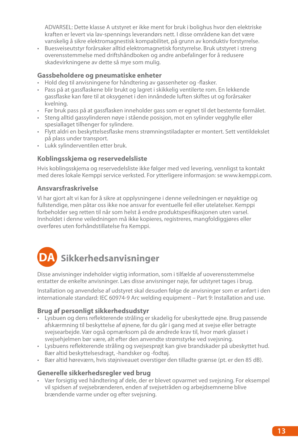ADVARSEL: Dette klasse A utstyret er ikke ment for bruk i bolighus hvor den elektriske kraften er levert via lav-spennings leverandørs nett. I disse områdene kan det være vanskelig å sikre elektromagnestisk kompabilitet, på grunn av konduktiv forstyrrelse.

• Buesveiseutstyr forårsaker alltid elektromagnetisk forstyrrelse. Bruk utstyret i streng overensstemmelse med driftshåndboken og andre anbefalinger for å redusere skadevirkningene av dette så mye som mulig.

#### **Gassbeholdere og pneumatiske enheter**

- Hold deg til anvisningene for håndtering av gassenheter og -flasker.
- • Pass på at gassflaskene blir brukt og lagret i skikkelig ventilerte rom. En lekkende gassflaske kan føre til at oksygenet i den innåndede luften skiftes ut og forårsaker kvelning.
- • Før bruk pass på at gassflasken inneholder gass som er egnet til det bestemte formålet.
- • Steng alltid gassylinderen nøye i stående posisjon, mot en sylinder vegghylle eller spesiallaget tilhenger for sylindere.
- • Flytt aldri en beskyttelsesflaske mens strømningstiladapter er montert. Sett ventildekslet på plass under transport.
- • Lukk sylinderventilen etter bruk.

#### **Koblingsskjema og reservedelsliste**

Hvis koblingsskjema og reservedelsliste ikke følger med ved levering, vennligst ta kontakt med deres lokale Kemppi service verksted. For ytterligere informasjon: se www.kemppi.com.

#### **Ansvarsfraskrivelse**

Vi har gjort alt vi kan for å sikre at opplysningene i denne veiledningen er nøyaktige og fullstendige, men påtar oss ikke noe ansvar for eventuelle feil eller utelatelser. Kemppi forbeholder seg retten til når som helst å endre produktspesifikasjonen uten varsel. Innholdet i denne veiledningen må ikke kopieres, registreres, mangfoldiggjøres eller overføres uten forhåndstillatelse fra Kemppi.

### **DA Sikkerhedsanvisninger**

Disse anvisninger indeholder vigtig information, som i tilfælde af uoverensstemmelse erstatter de enkelte anvisninger. Læs disse anvisninger nøje, før udstyret tages i brug.

Installation og anvendelse af udstyret skal desuden følge de anvisninger som er anført i den internationale standard: IEC 60974-9 Arc welding equipment – Part 9: Installation and use.

#### **Brug af personligt sikkerhedsudstyr**

- • Lysbuen og dens reflekterende stråling er skadelig for ubeskyttede øjne. Brug passende afskærmning til beskyttelse af øjnene, før du går i gang med at svejse eller betragte svejsearbejde. Vær også opmærksom på de ændrede krav til, hvor mørk glasset i svejsehjelmen bør være, alt efter den anvendte strømstyrke ved svejsning.
- • Lysbuens reflekterende stråling og svejsesprøjt kan give brandskader på ubeskyttet hud. Bær altid beskyttelsesdragt, -handsker og -fodtøj.
- • Bær altid høreværn, hvis støjniveauet overstiger den tilladte grænse (pt. er den 85 dB).

#### **Generelle sikkerhedsregler ved brug**

• Vær forsigtig ved håndtering af dele, der er blevet opvarmet ved svejsning. For eksempel vil spidsen af svejsebrænderen, enden af svejsetråden og arbejdsemnerne blive brændende varme under og efter svejsning.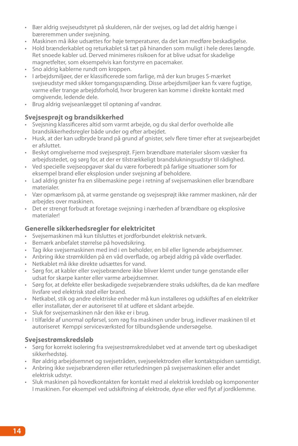- • Bær aldrig svejseudstyret på skulderen, når der svejses, og lad det aldrig hænge i bæreremmen under svejsning.
- • Maskinen må ikke udsættes for høje temperaturer, da det kan medføre beskadigelse.
- • Hold brænderkablet og returkablet så tæt på hinanden som muligt i hele deres længde. Ret snoede kabler ud. Derved minimeres risikoen for at blive udsat for skadelige magnetfelter, som eksempelvis kan forstyrre en pacemaker.
- • Sno aldrig kablerne rundt om kroppen.
- • I arbejdsmiljøer, der er klassificerede som farlige, må der kun bruges S-mærket svejseudstyr med sikker tomgangsspænding. Disse arbejdsmiljøer kan fx være fugtige, varme eller trange arbejdsforhold, hvor brugeren kan komme i direkte kontakt med omgivende, ledende dele.
- • Brug aldrig svejseanlægget til optøning af vandrør.

#### **Svejsesprøjt og brandsikkerhed**

- • Svejsning klassificeres altid som varmt arbejde, og du skal derfor overholde alle brandsikkerhedsregler både under og efter arbejdet.
- • Husk, at der kan udbryde brand på grund af gnister, selv flere timer efter at svejsearbejdet er afsluttet.
- • Beskyt omgivelserne mod svejsesprøjt. Fjern brændbare materialer såsom væsker fra arbejdsstedet, og sørg for, at der er tilstrækkeligt brandslukningsudstyr til rådighed.
- Ved specielle svejseopgaver skal du være forberedt på farlige situationer som for eksempel brand eller eksplosion under svejsning af beholdere.
- • Lad aldrig gnister fra en slibemaskine pege i retning af svejsemaskinen eller brændbare materialer.
- • Vær opmærksom på, at varme genstande og svejsesprøjt ikke rammer maskinen, når der arbejdes over maskinen.
- • Det er strengt forbudt at foretage svejsning i nærheden af brændbare og eksplosive materialer!

#### **Generelle sikkerhedsregler for elektricitet**

- • Svejsemaskinen må kun tilsluttes et jordforbundet elektrisk netværk.
- • Bemærk anbefalet størrelse på hovedsikring.
- • Tag ikke svejsemaskinen med ind i en beholder, en bil eller lignende arbejdsemner.
- • Anbring ikke strømkilden på en våd overflade, og arbejd aldrig på våde overflader.
- • Netkablet må ikke direkte udsættes for vand.
- • Sørg for, at kabler eller svejsebrændere ikke bliver klemt under tunge genstande eller udsat for skarpe kanter eller varme arbejdsemner.
- • Sørg for, at defekte eller beskadigede svejsebrændere straks udskiftes, da de kan medføre livsfare ved elektrisk stød eller brand.
- • Netkabel, stik og andre elektriske enheder må kun installeres og udskiftes af en elektriker eller installatør, der er autoriseret til at udføre et sådant arbejde.
- • Sluk for svejsemaskinen når den ikke er i brug.
- • I tilfælde af unormal opførsel, som røg fra maskinen under brug, indlever maskinen til et autoriseret Kemppi serviceværksted for tilbundsgående undersøgelse.

#### **Svejsestrømskredsløb**

- • Sørg for korrekt isolering fra svejsestrømskredsløbet ved at anvende tørt og ubeskadiget sikkerhedstøj.
- • Rør aldrig arbejdsemnet og svejsetråden, svejseelektroden eller kontaktspidsen samtidigt.
- • Anbring ikke svejsebrænderen eller returledningen på svejsemaskinen eller andet elektrisk udstyr.
- • Sluk maskinen på hovedkontakten før kontakt med al elektrisk kredsløb og komponenter I maskinen. For eksempel ved udskiftning af elektrode, dyse eller ved flyt af jordklemme.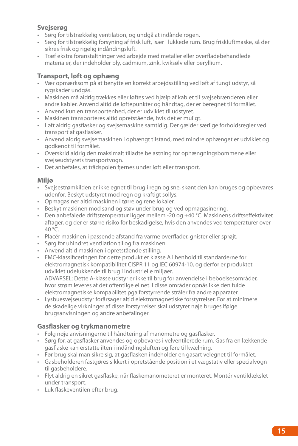#### **Svejserøg**

- • Sørg for tilstrækkelig ventilation, og undgå at indånde røgen.
- • Sørg for tilstrækkelig forsyning af frisk luft, især i lukkede rum. Brug friskluftmaske, så der sikres frisk og rigelig indåndingsluft.
- • Træf ekstra foranstaltninger ved arbejde med metaller eller overfladebehandlede materialer, der indeholder bly, cadmium, zink, kviksølv eller beryllium.

#### **Transport, løft og ophæng**

- • Vær opmærksom på at benytte en korrekt arbejdsstilling ved løft af tungt udstyr, så rygskader undgås.
- • Maskinen må aldrig trækkes eller løftes ved hjælp af kablet til svejsebrænderen eller andre kabler. Anvend altid de løftepunkter og håndtag, der er beregnet til formålet.
- • Anvend kun en transportenhed, der er udviklet til udstyret.
- • Maskinen transporteres altid opretstående, hvis det er muligt.
- • Løft aldrig gasflasker og svejsemaskine samtidig. Der gælder særlige forholdsregler ved transport af gasflasker.
- • Anvend aldrig svejsemaskinen i ophængt tilstand, med mindre ophænget er udviklet og godkendt til formålet.
- • Overskrid aldrig den maksimalt tilladte belastning for ophængningsbommene eller svejseudstyrets transportvogn.
- • Det anbefales, at trådspolen fjernes under løft eller transport.

#### **Miljø**

- • Svejsestrømkilden er ikke egnet til brug i regn og sne, skønt den kan bruges og opbevares udenfor. Beskyt udstyret mod regn og kraftigt sollys.
- • Opmagasiner altid maskinen i tørre og rene lokaler.
- Beskyt maskinen mod sand og støy under brug og ved opmagasinering.
- Den anbefalede driftstemperatur ligger mellem -20 og +40 °C. Maskinens driftseffektivitet aftager, og der er større risiko for beskadigelse, hvis den anvendes ved temperaturer over 40 °C.
- • Placér maskinen i passende afstand fra varme overflader, gnister eller sprøjt.
- • Sørg for uhindret ventilation til og fra maskinen.
- • Anvend altid maskinen i opretstående stilling.
- • EMC-klassificeringen for dette produkt er klasse A i henhold til standarderne for elektromagnetisk kompatibilitet CISPR 11 og IEC 60974-10, og derfor er produktet udviklet udelukkende til brug i industrielle miljøer. ADVARSEL: Dette A-klasse udstyr er ikke til brug for anvendelse i beboelsesområder, hvor strøm leveres af det offentlige el net. I disse områder opnås ikke den fulde elektromagnetiske kompabilitet pga forstyrrende stråler fra andre apparater.
- • Lysbuesvejseudstyr forårsager altid elektromagnetiske forstyrrelser. For at minimere de skadelige virkninger af disse forstyrrelser skal udstyret nøje bruges ifølge brugsanvisningen og andre anbefalinger.

#### **Gasflasker og trykmanometre**

- • Følg nøje anvisningerne til håndtering af manometre og gasflasker.
- • Sørg for, at gasflasker anvendes og opbevares i velventilerede rum. Gas fra en lækkende gasflaske kan erstatte ilten i indåndingsluften og føre til kvælning.
- • Før brug skal man sikre sig, at gasflasken indeholder en gasart velegnet til formålet.
- • Gasbeholderen fastgøres sikkert i opretstående position i et vægstativ eller specialvogn til gasbeholdere.
- • Flyt aldrig en sikret gasflaske, når flaskemanometeret er monteret. Montér ventildækslet under transport.
- • Luk flaskeventilen efter brug.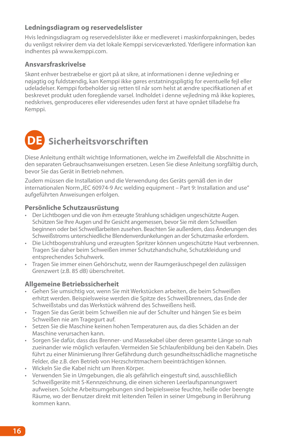#### **Ledningsdiagram og reservedelslister**

Hvis ledningsdiagram og reservedelslister ikke er medleveret i maskinforpakningen, bedes du venligst rekvirer dem via det lokale Kemppi serviceværksted. Yderligere information kan indhentes på www.kemppi.com.

#### **Ansvarsfraskrivelse**

Skønt enhver bestræbelse er gjort på at sikre, at informationen i denne vejledning er nøjagtig og fuldstændig, kan Kemppi ikke gøres erstatningspligtig for eventuelle fejl eller udeladelser. Kemppi forbeholder sig retten til når som helst at ændre specifikationen af et beskrevet produkt uden foregående varsel. Indholdet i denne vejledning må ikke kopieres, nedskrives, genproduceres eller videresendes uden først at have opnået tilladelse fra Kemppi.



Diese Anleitung enthält wichtige Informationen, welche im Zweifelsfall die Abschnitte in den separaten Gebrauchsanweisungen ersetzen. Lesen Sie diese Anleitung sorgfältig durch, bevor Sie das Gerät in Betrieb nehmen.

Zudem müssen die Installation und die Verwendung des Geräts gemäß den in der internationalen Norm "IEC 60974-9 Arc welding equipment – Part 9: Installation and use" aufgeführten Anweisungen erfolgen.

#### **Persönliche Schutzausrüstung**

- • Der Lichtbogen und die von ihm erzeugte Strahlung schädigen ungeschützte Augen. Schützen Sie Ihre Augen und Ihr Gesicht angemessen, bevor Sie mit dem Schweißen beginnen oder bei Schweißarbeiten zusehen. Beachten Sie außerdem, dass Änderungen des Schweißstroms unterschiedliche Blendenverdunkelungen an der Schutzmaske erfordern.
- Die Lichtbogenstrahlung und erzeugten Spritzer können ungeschützte Haut verbrennen. Tragen Sie daher beim Schweißen immer Schutzhandschuhe, Schutzkleidung und entsprechendes Schuhwerk.
- • Tragen Sie immer einen Gehörschutz, wenn der Raumgeräuschpegel den zulässigen Grenzwert (z.B. 85 dB) überschreitet.

#### **Allgemeine Betriebssicherheit**

- • Gehen Sie umsichtig vor, wenn Sie mit Werkstücken arbeiten, die beim Schweißen erhitzt werden. Beispielsweise werden die Spitze des Schweißbrenners, das Ende der Schweißstabs und das Werkstück während des Schweißens heiß.
- • Tragen Sie das Gerät beim Schweißen nie auf der Schulter und hängen Sie es beim Schweißen nie am Tragegurt auf.
- Setzen Sie die Maschine keinen hohen Temperaturen aus, da dies Schäden an der Maschine verursachen kann.
- • Sorgen Sie dafür, dass das Brenner- und Massekabel über deren gesamte Länge so nah zueinander wie möglich verlaufen. Vermeiden Sie Schlaufenbildung bei den Kabeln. Dies führt zu einer Minimierung Ihrer Gefährdung durch gesundheitsschädliche magnetische Felder, die z.B. den Betrieb von Herzschrittmachern beeinträchtigen können.
- Wickeln Sie die Kabel nicht um Ihren Körper.
- • Verwenden Sie in Umgebungen, die als gefährlich eingestuft sind, ausschließlich Schweißgeräte mit S-Kennzeichnung, die einen sicheren Leerlaufspannungswert aufweisen. Solche Arbeitsumgebungen sind beipielsweise feuchte, heiße oder beengte Räume, wo der Benutzer direkt mit leitenden Teilen in seiner Umgebung in Berührung kommen kann.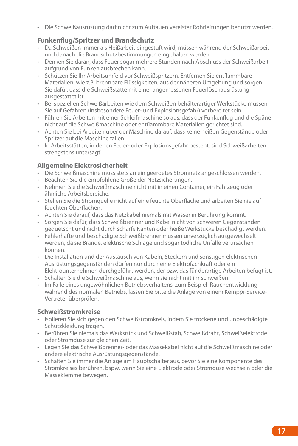• Die Schweißausrüstung darf nicht zum Auftauen vereister Rohrleitungen benutzt werden.

#### **Funkenflug/Spritzer und Brandschutz**

- • Da Schweißen immer als Heißarbeit eingestuft wird, müssen während der Schweißarbeit und danach die Brandschutzbestimmungen eingehalten werden.
- Denken Sie daran, dass Feuer sogar mehrere Stunden nach Abschluss der Schweißarbeit aufgrund von Funken ausbrechen kann.
- • Schützen Sie Ihr Arbeitsumfeld vor Schweißspritzern. Entfernen Sie entflammbare Materialien, wie z.B. brennbare Flüssigkeiten, aus der näheren Umgebung und sorgen Sie dafür, dass die Schweißstätte mit einer angemessenen Feuerlöschausrüstung ausgestattet ist.
- Bei speziellen Schweißarbeiten wie dem Schweißen behälterartiger Werkstücke müssen Sie auf Gefahren (insbesondere Feuer- und Explosionsgefahr) vorbereitet sein.
- • Führen Sie Arbeiten mit einer Schleifmaschine so aus, dass der Funkenflug und die Späne nicht auf die Schweißmaschine oder entflammbare Materialien gerichtet sind.
- • Achten Sie bei Arbeiten über der Maschine darauf, dass keine heißen Gegenstände oder Spritzer auf die Maschine fallen.
- • In Arbeitsstätten, in denen Feuer- oder Explosionsgefahr besteht, sind Schweißarbeiten strengstens untersagt!

#### **Allgemeine Elektrosicherheit**

- Die Schweißmaschine muss stets an ein geerdetes Stromnetz angeschlossen werden.
- • Beachten Sie die empfohlene Größe der Netzsicherungen.
- • Nehmen Sie die Schweißmaschine nicht mit in einen Container, ein Fahrzeug oder ähnliche Arbeitsbereiche.
- • Stellen Sie die Stromquelle nicht auf eine feuchte Oberfläche und arbeiten Sie nie auf feuchten Oberflächen.
- • Achten Sie darauf, dass das Netzkabel niemals mit Wasser in Berührung kommt.
- • Sorgen Sie dafür, dass Schweißbrenner und Kabel nicht von schweren Gegenständen gequetscht und nicht durch scharfe Kanten oder heiße Werkstücke beschädigt werden.
- Fehlerhafte und beschädigte Schweißbrenner müssen unverzüglich ausgewechselt werden, da sie Brände, elektrische Schläge und sogar tödliche Unfälle verursachen können.
- • Die Installation und der Austausch von Kabeln, Steckern und sonstigen elektrischen Ausrüstungsgegenständen dürfen nur durch eine Elektrofachkraft oder ein Elektrounternehmen durchgeführt werden, der bzw. das für derartige Arbeiten befugt ist.
- • Schalten Sie die Schweißmaschine aus, wenn sie nicht mit ihr schweißen.
- • Im Falle eines ungewöhnlichen Betriebsverhaltens, zum Beispiel Rauchentwicklung während des normalen Betriebs, lassen Sie bitte die Anlage von einem Kemppi-Service-Vertreter überprüfen.

### **Schweißstromkreise**

- Isolieren Sie sich gegen den Schweißstromkreis, indem Sie trockene und unbeschädigte Schutzkleidung tragen.
- • Berühren Sie niemals das Werkstück und Schweißstab, Schweißdraht, Schweißelektrode oder Stromdüse zur gleichen Zeit.
- • Legen Sie das Schweißbrenner- oder das Massekabel nicht auf die Schweißmaschine oder andere elektrische Ausrüstungsgegenstände.
- • Schalten Sie immer die Anlage am Hauptschalter aus, bevor Sie eine Komponente des Stromkreises berühren, bspw. wenn Sie eine Elektrode oder Stromdüse wechseln oder die Masseklemme bewegen.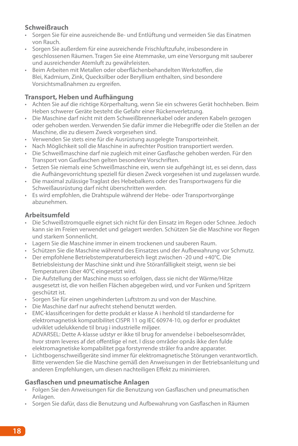#### **Schweißrauch**

- • Sorgen Sie für eine ausreichende Be- und Entlüftung und vermeiden Sie das Einatmen von Rauch.
- • Sorgen Sie außerdem für eine ausreichende Frischluftzufuhr, insbesondere in geschlossenen Räumen. Tragen Sie eine Atemmaske, um eine Versorgung mit sauberer und ausreichender Atemluft zu gewährleisten.
- Beim Arbeiten mit Metallen oder oberflächenbehandelten Werkstoffen, die Blei, Kadmium, Zink, Quecksilber oder Beryllium enthalten, sind besondere Vorsichtsmaßnahmen zu ergreifen.

### **Transport, Heben und Aufhängung**

- • Achten Sie auf die richtige Körperhaltung, wenn Sie ein schweres Gerät hochheben. Beim Heben schwerer Geräte besteht die Gefahr einer Rückenverletzung.
- Die Maschine darf nicht mit dem Schweißbrennerkabel oder anderen Kabeln gezogen oder gehoben werden. Verwenden Sie dafür immer die Hebegriffe oder die Stellen an der Maschine, die zu diesem Zweck vorgesehen sind.
- • Verwenden Sie stets eine für die Ausrüstung ausgelegte Transporteinheit.
- Nach Möglichkeit soll die Maschine in aufrechter Position transportiert werden.
- Die Schweißmaschine darf nie zugleich mit einer Gasflasche gehoben werden. Für den Transport von Gasflaschen gelten besondere Vorschriften.
- Setzen Sie niemals eine Schweißmaschine ein, wenn sie aufgehängt ist, es sei denn, dass die Aufhängevorrichtung speziell für diesen Zweck vorgesehen ist und zugelassen wurde.
- • Die maximal zulässige Traglast des Hebebalkens oder des Transportwagens für die Schweißausrüstung darf nicht überschritten werden.
- • Es wird empfohlen, die Drahtspule während der Hebe- oder Transportvorgänge abzunehmen.

#### **Arbeitsumfeld**

- • Die Schweißstromquelle eignet sich nicht für den Einsatz im Regen oder Schnee. Jedoch kann sie im Freien verwendet und gelagert werden. Schützen Sie die Maschine vor Regen und starkem Sonnenlicht.
- Lagern Sie die Maschine immer in einem trockenen und sauberen Raum.
- Schützen Sie die Maschine während des Einsatzes und der Aufbewahrung vor Schmutz.
- Der empfohlene Betriebstemperaturbereich liegt zwischen -20 und +40 $\degree$ C. Die Betriebsleistung der Maschine sinkt und ihre Störanfälligkeit steigt, wenn sie bei Temperaturen über 40°C eingesetzt wird.
- • Die Aufstellung der Maschine muss so erfolgen, dass sie nicht der Wärme/Hitze ausgesetzt ist, die von heißen Flächen abgegeben wird, und vor Funken und Spritzern geschützt ist.
- Sorgen Sie für einen ungehinderten Luftstrom zu und von der Maschine.
- • Die Maschine darf nur aufrecht stehend benutzt werden.
- • EMC-klassificeringen for dette produkt er klasse A i henhold til standarderne for elektromagnetisk kompatibilitet CISPR 11 og IEC 60974-10, og derfor er produktet udviklet udelukkende til brug i industrielle miljøer. ADVARSEL: Dette A-klasse udstyr er ikke til brug for anvendelse i beboelsesområder, hvor strøm leveres af det offentlige el net. I disse områder opnås ikke den fulde elektromagnetiske kompabilitet pga forstyrrende stråler fra andre apparater.
- • Lichtbogenschweißgeräte sind immer für elektromagnetische Störungen verantwortlich. Bitte verwenden Sie die Maschine gemäß den Anweisungen in der Betriebsanleitung und anderen Empfehlungen, um diesen nachteiligen Effekt zu minimieren.

#### **Gasflaschen und pneumatische Anlagen**

- • Folgen Sie den Anweisungen für die Benutzung von Gasflaschen und pneumatischen Anlagen.
- Sorgen Sie dafür, dass die Benutzung und Aufbewahrung von Gasflaschen in Räumen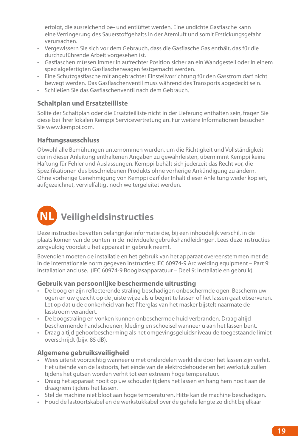erfolgt, die ausreichend be- und entlüftet werden. Eine undichte Gasflasche kann eine Verringerung des Sauerstoffgehalts in der Atemluft und somit Erstickungsgefahr verursachen.

- • Vergewissern Sie sich vor dem Gebrauch, dass die Gasflasche Gas enthält, das für die durchzuführende Arbeit vorgesehen ist.
- • Gasflaschen müssen immer in aufrechter Position sicher an ein Wandgestell oder in einem spezialgefertigten Gasflaschenwagen festgemacht werden.
- • Eine Schutzgasflasche mit angebrachter Einstellvorrichtung für den Gasstrom darf nicht bewegt werden. Das Gasflaschenventil muss während des Transports abgedeckt sein.
- • Schließen Sie das Gasflaschenventil nach dem Gebrauch.

#### **Schaltplan und Ersatzteilliste**

Sollte der Schaltplan oder die Ersatzteilliste nicht in der Lieferung enthalten sein, fragen Sie diese bei Ihrer lokalen Kemppi Servicevertretung an. Für weitere Informationen besuchen Sie www.kemppi.com.

#### **Haftungsausschluss**

Obwohl alle Bemühungen unternommen wurden, um die Richtigkeit und Vollständigkeit der in dieser Anleitung enthaltenen Angaben zu gewährleisten, übernimmt Kemppi keine Haftung für Fehler und Auslassungen. Kemppi behält sich jederzeit das Recht vor, die Spezifikationen des beschriebenen Produkts ohne vorherige Ankündigung zu ändern. Ohne vorherige Genehmigung von Kemppi darf der Inhalt dieser Anleitung weder kopiert, aufgezeichnet, vervielfältigt noch weitergeleitet werden.



Deze instructies bevatten belangrijke informatie die, bij een inhoudelijk verschil, in de plaats komen van de punten in de individuele gebruikshandleidingen. Lees deze instructies zorgvuldig voordat u het apparaat in gebruik neemt.

Bovendien moeten de installatie en het gebruik van het apparaat overeenstemmen met de in de internationale norm gegeven instructies: IEC 60974-9 Arc welding equipment – Part 9: Installation and use. (IEC 60974-9 Booglasapparatuur – Deel 9: Installatie en gebruik).

#### **Gebruik van persoonlijke beschermende uitrusting**

- De boog en zijn reflecterende straling beschadigen onbeschermde ogen. Bescherm uw ogen en uw gezicht op de juiste wijze als u begint te lassen of het lassen gaat observeren. Let op dat u de donkerheid van het filterglas van het masker bijstelt naarmate de lasstroom verandert.
- • De boogstraling en vonken kunnen onbeschermde huid verbranden. Draag altijd beschermende handschoenen, kleding en schoeisel wanneer u aan het lassen bent.
- • Draag altijd gehoorbescherming als het omgevingsgeluidsniveau de toegestaande limiet overschrijdt (bijv. 85 dB).

#### **Algemene gebruiksveiligheid**

- • Wees uiterst voorzichtig wanneer u met onderdelen werkt die door het lassen zijn verhit. Het uiteinde van de lastoorts, het einde van de elektrodehouder en het werkstuk zullen tijdens het gutsen worden verhit tot een extreem hoge temperatuur.
- • Draag het apparaat nooit op uw schouder tijdens het lassen en hang hem nooit aan de draagriem tijdens het lassen.
- Stel de machine niet bloot aan hoge temperaturen. Hitte kan de machine beschadigen.
- • Houd de lastoortskabel en de werkstukkabel over de gehele lengte zo dicht bij elkaar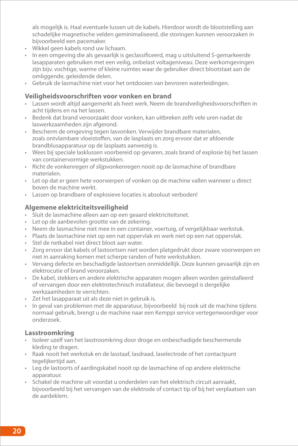als mogelijk is. Haal eventuele lussen uit de kabels. Hierdoor wordt de blootstelling aan schadelijke magnetische velden geminimaliseerd, die storingen kunnen veroorzaken in bijvoorbeeld een pacemaker.

- • Wikkel geen kabels rond uw lichaam.
- In een omgeving die als gevaarlijk is geclassificeerd, mag u uitsluitend S-gemarkeerde lasapparaten gebruiken met een veilig, onbelast voltageniveau. Deze werkomgevingen zijn bijv. vochtige, warme of kleine ruimtes waar de gebruiker direct blootstaat aan de omliggende, geleidende delen.
- Gebruik de lasmachine niet voor het ontdooien van bevroren waterleidingen.

#### **Veiligheidsvoorschriften voor vonken en brand**

- Lassen wordt altijd aangemerkt als heet werk. Neem de brandveiligheidsvoorschriften in acht tijdens en na het lassen.
- • Bedenk dat brand veroorzaakt door vonken, kan uitbreken zelfs vele uren nadat de laswerkzaamheden zijn afgerond.
- • Bescherm de omgeving tegen lasvonken. Verwijder brandbare materialen, zoals ontvlambare vloeistoffen, van de lasplaats en zorg ervoor dat er afdoende brandblusapparatuur op de lasplaats aanwezig is.
- • Wees bij speciale lasklussen voorbereid op gevaren, zoals brand of explosie bij het lassen van containervormige werkstukken.
- Richt de vonkenregen of slijpvonkenregen nooit op de lasmachine of brandbare materialen.
- • Let op dat er geen hete voorwerpen of vonken op de machine vallen wanneer u direct boven de machine werkt.
- Lassen op brandbare of explosieve locaties is absoluut verboden!

#### **Algemene elektriciteitsveiligheid**

- Sluit de lasmachine alleen aan op een geaard elektriciteitsnet.
- • Let op de aanbevolen grootte van de zekering.
- • Neem de lasmachine niet mee in een container, voertuig, of vergelijkbaar werkstuk.
- Plaats de lasmachine niet op een nat oppervlak en werk niet op een nat oppervlak.
- • Stel de netkabel niet direct bloot aan water.
- • Zorg ervoor dat kabels of lastoortsen niet worden platgedrukt door zware voorwerpen en niet in aanraking komen met scherpe randen of hete werkstukken.
- • Vervang defecte en beschadigde lastoortsen onmiddellijk. Deze kunnen gevaarlijk zijn en elektrocutie of brand veroorzaken.
- • De kabel, stekkers en andere elektrische apparaten mogen alleen worden geïnstalleerd of vervangen door een elektrotechnisch installateur, die bevoegd is dergelijke werkzaamheden te verrichten.
- • Zet het lasapparaat uit als deze niet in gebruik is.
- In geval van problemen met de apparatuur, bijvoorbeeld bij rook uit de machine tijdens normaal gebruik, brengt u de machine naar een Kemppi service vertegenwoordiger voor onderzoek.

#### **Lasstroomkring**

- Isoleer uzelf van het lasstroomkring door droge en onbeschadigde beschermende kleding te dragen.
- • Raak nooit het werkstuk en de lasstaaf, lasdraad, laselectrode of het contactpunt tegelijkertijd aan.
- • Leg de lastoorts of aardingskabel nooit op de lasmachine of op andere elektrische apparatuur.
- • Schakel de machine uit voordat u onderdelen van het elektrisch circuit aanraakt, bijvoorbeeld bij het vervangen van de elektrode of contact tip of bij het verplaatsen van de aardeklem.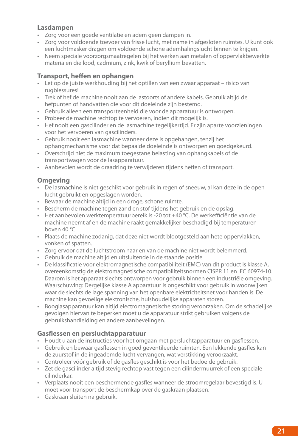#### **Lasdampen**

- • Zorg voor een goede ventilatie en adem geen dampen in.
- • Zorg voor voldoende toevoer van frisse lucht, met name in afgesloten ruimtes. U kunt ook een luchtmasker dragen om voldoende schone ademhalingslucht binnen te krijgen.
- • Neem speciale voorzorgsmaatregelen bij het werken aan metalen of oppervlakbewerkte materialen die lood, cadmium, zink, kwik of beryllium bevatten.

#### **Transport, heffen en ophangen**

- Let op de juiste werkhouding bij het optillen van een zwaar apparaat risico van rugblessures!
- • Trek of hef de machine nooit aan de lastoorts of andere kabels. Gebruik altijd de hefpunten of handvatten die voor dit doeleinde zijn bestemd.
- • Gebruik alleen een transporteenheid die voor de apparatuur is ontworpen.
- • Probeer de machine rechtop te vervoeren, indien dit mogelijk is.
- Hef nooit een gascilinder en de lasmachine tegelijkertijd. Er zijn aparte voorzieningen voor het vervoeren van gascilinders.
- • Gebruik nooit een lasmachine wanneer deze is opgehangen, tenzij het ophangmechanisme voor dat bepaalde doeleinde is ontworpen en goedgekeurd.
- • Overschrijd niet de maximum toegestane belasting van ophangkabels of de transportwagen voor de lasapparatuur.
- • Aanbevolen wordt de draadring te verwijderen tijdens heffen of transport.

#### **Omgeving**

- • De lasmachine is niet geschikt voor gebruik in regen of sneeuw, al kan deze in de open lucht gebruikt en opgeslagen worden.
- • Bewaar de machine altijd in een droge, schone ruimte.
- Bescherm de machine tegen zand en stof tijdens het gebruik en de opslag.
- Het aanbevolen werktemperatuurbereik is -20 tot +40 °C. De werkefficiëntie van de machine neemt af en de machine raakt gemakkelijker beschadigd bij temperaturen boven 40 °C.
- • Plaats de machine zodanig, dat deze niet wordt blootgesteld aan hete oppervlakken, vonken of spatten.
- • Zorg ervoor dat de luchtstroom naar en van de machine niet wordt belemmerd.
- • Gebruik de machine altijd en uitsluitende in de staande positie.
- • De klassificatie voor elektromagnetische compatibiliteit (EMC) van dit product is klasse A, overeenkomstig de elektromagnetische compatibiliteitsnormen CISPR 11 en IEC 60974-10. Daarom is het apparaat slechts ontworpen voor gebruik binnen een industriële omgeving. Waarschuwing: Dergelijke klasse A apparatuur is ongeschikt voor gebruik in woonwijken waar de slechts de lage spanning van het openbare elektriciteitsnet voor handen is. De machine kan gevoelige elektronische, huishoudelijke apparaten storen.
- • Booglasapparatuur kan altijd electromagnetische storing veroorzaken. Om de schadelijke gevolgen hiervan te beperken moet u de apparatuur strikt gebruiken volgens de gebruikshandleiding en andere aanbevelingen.

#### **Gasflessen en persluchtapparatuur**

- • Houdt u aan de instructies voor het omgaan met persluchtapparatuur en gasflessen.
- • Gebruik en bewaar gasflessen in goed geventileerde ruimten. Een lekkende gasfles kan de zuurstof in de ingeademde lucht vervangen, wat verstikking veroorzaakt.
- • Controleer vóór gebruik of de gasfles geschikt is voor het bedoelde gebruik.
- • Zet de gascilinder altijd stevig rechtop vast tegen een cilindermuurrek of een speciale cilinderkar.
- • Verplaats nooit een beschermende gasfles wanneer de stroomregelaar bevestigd is. U moet voor transport de beschermkap over de gaskraan plaatsen.
- • Gaskraan sluiten na gebruik.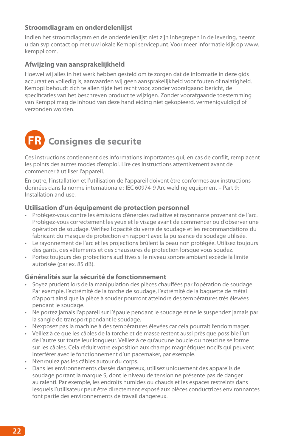#### **Stroomdiagram en onderdelenlijst**

Indien het stroomdiagram en de onderdelenlijst niet zijn inbegrepen in de levering, neemt u dan svp contact op met uw lokale Kemppi servicepunt. Voor meer informatie kijk op www. kemppi.com.

#### **Afwijzing van aansprakelijkheid**

Hoewel wij alles in het werk hebben gesteld om te zorgen dat de informatie in deze gids accuraat en volledig is, aanvaarden wij geen aansprakelijkheid voor fouten of nalatigheid. Kemppi behoudt zich te allen tijde het recht voor, zonder voorafgaand bericht, de specificaties van het beschreven product te wijzigen. Zonder voorafgaande toestemming van Kemppi mag de inhoud van deze handleiding niet gekopieerd, vermenigvuldigd of verzonden worden.



Ces instructions contiennent des informations importantes qui, en cas de conflit, remplacent les points des autres modes d'emploi. Lire ces instructions attentivement avant de commencer à utiliser l'appareil.

En outre, l'installation et l'utilisation de l'appareil doivent être conformes aux instructions données dans la norme internationale : IEC 60974-9 Arc welding equipment – Part 9: Installation and use.

#### **Utilisation d'un équipement de protection personnel**

- • Protégez-vous contre les émissions d'énergies radiative et rayonnante provenant de l'arc. Protégez-vous correctement les yeux et le visage avant de commencer ou d'observer une opération de soudage. Vérifiez l'opacité du verre de soudage et les recommandations du fabricant du masque de protection en rapport avec la puissance de soudage utilisée.
- • Le rayonnement de l'arc et les projections brûlent la peau non protégée. Utilisez toujours des gants, des vêtements et des chaussures de protection lorsque vous soudez.
- • Portez toujours des protections auditives si le niveau sonore ambiant excède la limite autorisée (par ex. 85 dB).

#### **Généralités sur la sécurité de fonctionnement**

- Soyez prudent lors de la manipulation des pièces chauffées par l'opération de soudage. Par exemple, l'extrémité de la torche de soudage, l'extrémité de la baguette de métal d'apport ainsi que la pièce à souder pourront atteindre des températures très élevées pendant le soudage.
- Ne portez jamais l'appareil sur l'épaule pendant le soudage et ne le suspendez jamais par la sangle de transport pendant le soudage.
- • N'exposez pas la machine à des températures élevées car cela pourrait l'endommager.
- • Veillez à ce que les câbles de la torche et de masse restent aussi près que possible l'un de l'autre sur toute leur longueur. Veillez à ce qu'aucune boucle ou nœud ne se forme sur les câbles. Cela réduit votre exposition aux champs magnétiques nocifs qui peuvent interférer avec le fonctionnement d'un pacemaker, par exemple.
- • N'enroulez pas les câbles autour du corps.
- Dans les environnements classés dangereux, utilisez uniquement des appareils de soudage portant la marque S, dont le niveau de tension ne présente pas de danger au ralenti. Par exemple, les endroits humides ou chauds et les espaces restreints dans lesquels l'utilisateur peut être directement exposé aux pièces conductrices environnantes font partie des environnements de travail dangereux.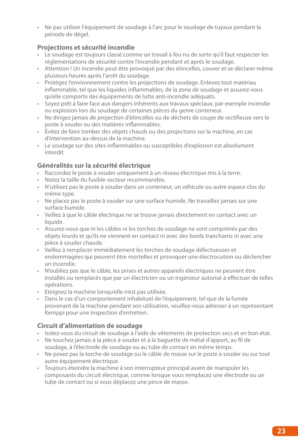• Ne pas utiliser l'équipement de soudage à l'arc pour le soudage de tuyaux pendant la période de dégel.

#### **Projections et sécurité incendie**

- • Le soudage est toujours classé comme un travail à feu nu de sorte qu'il faut respecter les réglementations de sécurité contre l'incendie pendant et après le soudage.
- • Attention ! Un incendie peut être provoqué par des étincelles, couver et se déclarer même plusieurs heures après l'arrêt du soudage.
- • Protégez l'environnement contre les projections de soudage. Enlevez tout matériau inflammable, tel que les liquides inflammables, de la zone de soudage et assurez-vous qu'elle comporte des équipements de lutte anti-incendie adéquats.
- • Soyez prêt à faire face aux dangers inhérents aux travaux spéciaux, par exemple incendie ou explosion lors du soudage de certaines pièces du genre conteneur.
- • Ne dirigez jamais de projection d'étincelles ou de déchets de coupe de rectifieuse vers le poste à souder ou des matières inflammables.
- • Évitez de faire tomber des objets chauds ou des projections sur la machine, en cas d'intervention au-dessus de la machine.
- • Le soudage sur des sites inflammables ou susceptibles d'explosion est absolument interdit.

#### **Généralités sur la sécurité électrique**

- • Raccordez le poste à souder uniquement à un réseau électrique mis à la terre.
- • Notez la taille du fusible secteur recommandée.
- • N'utilisez pas le poste à souder dans un conteneur, un véhicule ou autre espace clos du même type.
- • Ne placez pas le poste à souder sur une surface humide. Ne travaillez jamais sur une surface humide.
- • Veillez à que le câble électrique ne se trouve jamais directement en contact avec un liquide.
- • Assurez-vous que ni les câbles ni les torches de soudage ne sont comprimés par des objets lourds et qu'ils ne viennent en contact ni avec des bords tranchants ni avec une pièce à souder chaude.
- • Veillez à remplacer immédiatement les torches de soudage défectueuses et endommagées qui peuvent être mortelles et provoquer une électrocution ou déclencher un incendie.
- • N'oubliez pas que le câble, les prises et autres appareils électriques ne peuvent être installés ou remplacés que par un électricien ou un ingénieur autorisé à effectuer de telles opérations.
- • Eteignez la machine lorsqu'elle n'est pas utilisée.
- • Dans le cas d'un comportement inhabituel de l'équipement, tel que de la fumée provenant de la machine pendant son utilisation, veuillez-vous adresser à un représentant Kemppi pour une inspection d'entretien.

#### **Circuit d'alimentation de soudage**

- • Isolez-vous du circuit de soudage à l'aide de vêtements de protection secs et en bon état.
- • Ne touchez jamais à la pièce à souder et à la baguette de métal d'apport, au fil de soudage, à l'électrode de soudage ou au tube de contact en même temps.
- • Ne posez pas la torche de soudage ou le câble de masse sur le poste à souder ou sur tout autre équipement électrique.
- • Toujours éteindre la machine à son interrupteur principal avant de manipuler les composants du circuit électrique, comme lorsque vous remplacez une électrode ou un tube de contact ou si vous déplacez une pince de masse.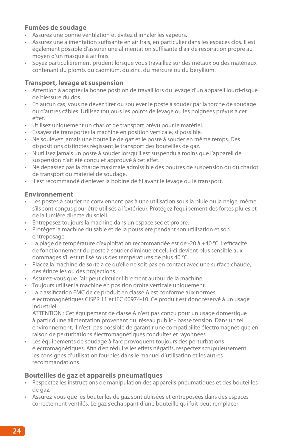#### **Fumées de soudage**

- Assurez une bonne ventilation et évitez d'inhaler les vapeurs.
- • Assurez une alimentation suffisante en air frais, en particulier dans les espaces clos. Il est également possible d'assurer une alimentation suffisante d'air de respiration propre au moyen d'un masque à air frais.
- • Soyez particulièrement prudent lorsque vous travaillez sur des métaux ou des matériaux contenant du plomb, du cadmium, du zinc, du mercure ou du béryllium.

#### **Transport, levage et suspension**

- • Attention à adopter la bonne position de travail lors du levage d'un appareil lourd-risque de blessure du dos.
- • En aucun cas, vous ne devez tirer ou soulever le poste à souder par la torche de soudage ou d'autres câbles. Utilisez toujours les points de levage ou les poignées prévus à cet effet.
- • Utilisez uniquement un chariot de transport prévu pour le matériel.
- • Essayez de transporter la machine en position verticale, si possible.
- • Ne soulevez jamais une bouteille de gaz et le poste à souder en même temps. Des dispositions distinctes régissent le transport des bouteilles de gaz.
- • N'utilisez jamais un poste à souder lorsqu'il est suspendu à moins que l'appareil de suspension n'ait été conçu et approuvé à cet effet.
- • Ne dépassez pas la charge maximale admissible des poutres de suspension ou du chariot de transport du matériel de soudage.
- • Il est recommandé d'enlever la bobine de fil avant le levage ou le transport.

#### **Environnement**

- • Les postes à souder ne conviennent pas à une utilisation sous la pluie ou la neige, même s'ils sont conçus pour être utilisés à l'extérieur. Protégez l'équipement des fortes pluies et de la lumière directe du soleil.
- • Entreposez toujours la machine dans un espace sec et propre.
- • Protégez la machine du sable et de la poussière pendant son utilisation et son entreposage.
- • La plage de température d'exploitation recommandée est de -20 à +40 °C. L'efficacité de fonctionnement du poste à souder diminue et celui-ci devient plus sensible aux dommages s'il est utilisé sous des températures de plus 40 °C.
- • Placez la machine de sorte à ce qu'elle ne soit pas en contact avec une surface chaude, des étincelles ou des projections.
- • Assurez-vous que l'air peut circuler librement autour de la machine.
- • Toujours utiliser la machine en position droite verticale uniquement.
- La classification EMC de ce produit en classe A est conforme aux normes électromagnétiques CISPR 11 et IEC 60974-10. Ce produit est donc réservé à un usage industriel.

ATTENTION : Cet équipement de classe A n'est pas conçu pour un usage domestique à partir d'une alimentation provenant du réseau public - basse tension. Dans un tel environnement, il n'est pas possible de garantir une compatibilité électromagnétique en raison de perturbations électromagnétiques conduites et rayonnées

• Les équipements de soudage à l'arc provoquent toujours des perturbations électromagnétiques. Afin d'en réduire les effets négatifs, respectez scrupuleusement les consignes d'utilisation fournies dans le manuel d'utilisation et les autres recommandations.

#### **Bouteilles de gaz et appareils pneumatiques**

- • Respectez les instructions de manipulation des appareils pneumatiques et des bouteilles de gaz.
- • Assurez-vous que les bouteilles de gaz sont utilisées et entreposées dans des espaces correctement ventilés. Le gaz s'échappant d'une bouteille qui fuit peut remplacer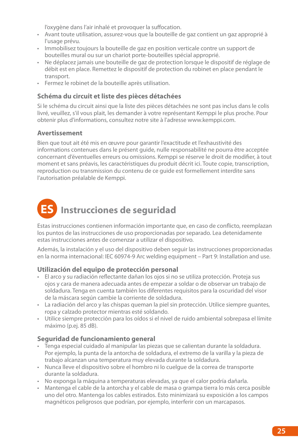l'oxygène dans l'air inhalé et provoquer la suffocation.

- • Avant toute utilisation, assurez-vous que la bouteille de gaz contient un gaz approprié à l'usage prévu.
- Immobilisez toujours la bouteille de gaz en position verticale contre un support de bouteilles mural ou sur un chariot porte-bouteilles spécial approprié.
- • Ne déplacez jamais une bouteille de gaz de protection lorsque le dispositif de réglage de débit est en place. Remettez le dispositif de protection du robinet en place pendant le transport.
- • Fermez le robinet de la bouteille après utilisation.

#### **Schéma du circuit et liste des pièces détachées**

Si le schéma du circuit ainsi que la liste des pièces détachées ne sont pas inclus dans le colis livré, veuillez, s'il vous plait, les demander à votre représentant Kemppi le plus proche. Pour obtenir plus d'informations, consultez notre site à l'adresse www.kemppi.com.

#### **Avertissement**

Bien que tout ait été mis en œuvre pour garantir l'exactitude et l'exhaustivité des informations contenues dans le présent guide, nulle responsabilité ne pourra être acceptée concernant d'éventuelles erreurs ou omissions. Kemppi se réserve le droit de modifier, à tout moment et sans préavis, les caractéristiques du produit décrit ici. Toute copie, transcription, reproduction ou transmission du contenu de ce guide est formellement interdite sans l'autorisation préalable de Kemppi.

### **ES Instrucciones de seguridad**

Estas instrucciones contienen información importante que, en caso de conflicto, reemplazan los puntos de las instrucciones de uso proporcionadas por separado. Lea detenidamente estas instrucciones antes de comenzar a utilizar el dispositivo.

Además, la instalación y el uso del dispositivo deben seguir las instrucciones proporcionadas en la norma internacional: IEC 60974-9 Arc welding equipment – Part 9: Installation and use.

#### **Utilización del equipo de protección personal**

- • El arco y su radiación reflectante dañan los ojos si no se utiliza protección. Proteja sus ojos y cara de manera adecuada antes de empezar a soldar o de observar un trabajo de soldadura. Tenga en cuenta también los diferentes requisitos para la oscuridad del visor de la máscara según cambie la corriente de soldadura.
- • La radiación del arco y las chispas queman la piel sin protección. Utilice siempre guantes, ropa y calzado protector mientras esté soldando.
- • Utilice siempre protección para los oídos si el nivel de ruido ambiental sobrepasa el límite máximo (p.ej. 85 dB).

#### **Seguridad de funcionamiento general**

- • Tenga especial cuidado al manipular las piezas que se calientan durante la soldadura. Por ejemplo, la punta de la antorcha de soldadura, el extremo de la varilla y la pieza de trabajo alcanzan una temperatura muy elevada durante la soldadura.
- • Nunca lleve el dispositivo sobre el hombro ni lo cuelgue de la correa de transporte durante la soldadura.
- • No exponga la máquina a temperaturas elevadas, ya que el calor podría dañarla.
- • Mantenga el cable de la antorcha y el cable de masa o grampa tierra lo más cerca posible uno del otro. Mantenga los cables estirados. Esto minimizará su exposición a los campos magnéticos peligrosos que podrían, por ejemplo, interferir con un marcapasos.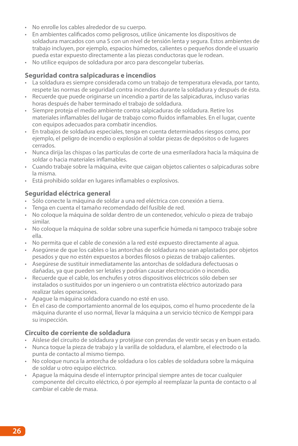- • No enrolle los cables alrededor de su cuerpo.
- • En ambientes calificados como peligrosos, utilice únicamente los dispositivos de soldadura marcados con una S con un nivel de tensión lenta y segura. Estos ambientes de trabajo incluyen, por ejemplo, espacios húmedos, calientes o pequeños donde el usuario pueda estar expuesto directamente a las piezas conductoras que le rodean.
- No utilice equipos de soldadura por arco para descongelar tuberías.

#### **Seguridad contra salpicaduras e incendios**

- • La soldadura es siempre considerada como un trabajo de temperatura elevada, por tanto, respete las normas de seguridad contra incendios durante la soldadura y después de ésta.
- • Recuerde que puede originarse un incendio a partir de las salpicaduras, incluso varias horas después de haber terminado el trabajo de soldadura.
- • Siempre proteja el medio ambiente contra salpicaduras de soldadura. Retire los materiales inflamables del lugar de trabajo como fluidos inflamables. En el lugar, cuente con equipos adecuados para combatir incendios.
- • En trabajos de soldadura especiales, tenga en cuenta determinados riesgos como, por ejemplo, el peligro de incendio o explosión al soldar piezas de depósitos o de lugares cerrados.
- • Nunca dirija las chispas o las partículas de corte de una esmeriladora hacia la máquina de soldar o hacia materiales inflamables.
- • Cuando trabaje sobre la máquina, evite que caigan objetos calientes o salpicaduras sobre la misma.
- • Está prohibido soldar en lugares inflamables o explosivos.

#### **Seguridad eléctrica general**

- • Sólo conecte la máquina de soldar a una red eléctrica con conexión a tierra.
- • Tenga en cuenta el tamaño recomendado del fusible de red.
- • No coloque la máquina de soldar dentro de un contenedor, vehículo o pieza de trabajo similar.
- • No coloque la máquina de soldar sobre una superficie húmeda ni tampoco trabaje sobre ella.
- • No permita que el cable de conexión a la red esté expuesto directamente al agua.
- • Asegúrese de que los cables o las antorchas de soldadura no sean aplastados por objetos pesados y que no estén expuestos a bordes filosos o piezas de trabajo calientes.
- • Asegúrese de sustituir inmediatamente las antorchas de soldadura defectuosas o dañadas, ya que pueden ser letales y podrían causar electrocución o incendio.
- • Recuerde que el cable, los enchufes y otros dispositivos eléctricos sólo deben ser instalados o sustituidos por un ingeniero o un contratista eléctrico autorizado para realizar tales operaciones.
- • Apague la máquina soldadora cuando no esté en uso.
- • En el caso de comportamiento anormal de los equipos, como el humo procedente de la máquina durante el uso normal, llevar la máquina a un servicio técnico de Kemppi para su inspección.

#### **Circuito de corriente de soldadura**

- • Aíslese del circuito de soldadura y protéjase con prendas de vestir secas y en buen estado.
- • Nunca toque la pieza de trabajo y la varilla de soldadura, el alambre, el electrodo o la punta de contacto al mismo tiempo.
- • No coloque nunca la antorcha de soldadura o los cables de soldadura sobre la máquina de soldar u otro equipo eléctrico.
- • Apague la máquina desde el interruptor principal siempre antes de tocar cualquier componente del circuito eléctrico, ó por ejemplo al reemplazar la punta de contacto o al cambiar el cable de masa.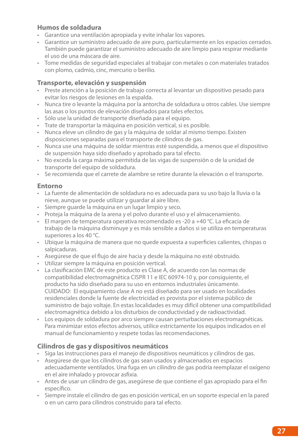#### **Humos de soldadura**

- • Garantice una ventilación apropiada y evite inhalar los vapores.
- • Garantice un suministro adecuado de aire puro, particularmente en los espacios cerrados. También puede garantizar el suministro adecuado de aire limpio para respirar mediante el uso de una máscara de aire.
- • Tome medidas de seguridad especiales al trabajar con metales o con materiales tratados con plomo, cadmio, cinc, mercurio o berilio.

#### **Transporte, elevación y suspensión**

- • Preste atención a la posición de trabajo correcta al levantar un dispositivo pesado para evitar los riesgos de lesiones en la espalda.
- • Nunca tire o levante la máquina por la antorcha de soldadura u otros cables. Use siempre las asas o los puntos de elevación diseñados para tales efectos.
- • Sólo use la unidad de transporte diseñada para el equipo.
- • Trate de transportar la máquina en posición vertical, si es posible.
- • Nunca eleve un cilindro de gas y la máquina de soldar al mismo tiempo. Existen disposiciones separadas para el transporte de cilindros de gas.
- • Nunca use una máquina de soldar mientras esté suspendida, a menos que el dispositivo de suspensión haya sido diseñado y aprobado para tal efecto.
- • No exceda la carga máxima permitida de las vigas de suspensión o de la unidad de transporte del equipo de soldadura.
- • Se recomienda que el carrete de alambre se retire durante la elevación o el transporte.

#### **Entorno**

- • La fuente de alimentación de soldadura no es adecuada para su uso bajo la lluvia o la nieve, aunque se puede utilizar y guardar al aire libre.
- • Siempre guarde la máquina en un lugar limpio y seco.
- • Proteja la máquina de la arena y el polvo durante el uso y el almacenamiento.
- • El margen de temperatura operativa recomendado es -20 a +40 °C. La eficacia de trabajo de la máquina disminuye y es más sensible a daños si se utiliza en temperaturas superiores a los 40 °C.
- • Ubique la máquina de manera que no quede expuesta a superficies calientes, chispas o salpicaduras.
- • Asegúrese de que el flujo de aire hacia y desde la máquina no esté obstruido.
- • Utilizar siempre la máquina en posición vertical.
- • La clasificación EMC de este producto es Clase A, de acuerdo con las normas de compatibilidad electromagnética CISPR 11 e IEC 60974-10 y, por consiguiente, el producto ha sido diseñado para su uso en entornos industriales únicamente. CUIDADO: El equipamiento clase A no está diseñado para ser usado en localidades residenciales donde la fuente de electricidad es provista por el sistema público de suministro de bajo voltaje. En estas localidades es muy difícil obtener una compatibilidad electromagnética debido a los disturbios de conductividad y de radioactividad.
- Los equipos de soldadura por arco siempre causan perturbaciones electromagnéticas. Para minimizar estos efectos adversos, utilice estrictamente los equipos indicados en el manual de funcionamiento y respete todas las recomendaciones.

#### **Cilindros de gas y dispositivos neumáticos**

- • Siga las instrucciones para el manejo de dispositivos neumáticos y cilindros de gas.
- • Asegúrese de que los cilindros de gas sean usados y almacenados en espacios adecuadamente ventilados. Una fuga en un cilindro de gas podría reemplazar el oxígeno en el aire inhalado y provocar asfixia.
- • Antes de usar un cilindro de gas, asegúrese de que contiene el gas apropiado para el fin específico.
- • Siempre instale el cilindro de gas en posición vertical, en un soporte especial en la pared o en un carro para cilindros construido para tal efecto.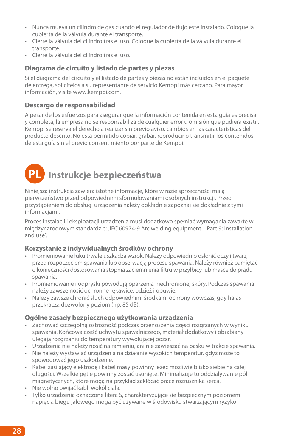- • Nunca mueva un cilindro de gas cuando el regulador de flujo esté instalado. Coloque la cubierta de la válvula durante el transporte.
- • Cierre la válvula del cilindro tras el uso. Coloque la cubierta de la válvula durante el transporte.
- • Cierre la válvula del cilindro tras el uso.

#### **Diagrama de circuito y listado de partes y piezas**

Si el diagrama del circuito y el listado de partes y piezas no están incluidos en el paquete de entrega, solicítelos a su representante de servicio Kemppi más cercano. Para mayor información, visite www.kemppi.com.

#### **Descargo de responsabilidad**

A pesar de los esfuerzos para asegurar que la información contenida en esta guía es precisa y completa, la empresa no se responsabiliza de cualquier error u omisión que pudiera existir. Kemppi se reserva el derecho a realizar sin previo aviso, cambios en las características del producto descrito. No está permitido copiar, grabar, reproducir o transmitir los contenidos de esta guía sin el previo consentimiento por parte de Kemppi.

### **PL Instrukcje bezpieczeństwa**

Niniejsza instrukcją zawiera istotne informacje, które w razie sprzeczności mają pierwszeństwo przed odpowiednimi sformułowaniami osobnych instrukcji. Przed przystąpieniem do obsługi urządzenia należy dokładnie zapoznaj się dokładnie z tymi informacjami.

Proces instalacji i eksploatacji urządzenia musi dodatkowo spełniać wymagania zawarte w międzynarodowym standardzie: "IEC 60974-9 Arc welding equipment – Part 9: Installation and use".

#### **Korzystanie z indywidualnych środków ochrony**

- • Promieniowanie łuku trwale uszkadza wzrok. Należy odpowiednio osłonić oczy i twarz, przed rozpoczęciem spawania lub obserwacją procesu spawania. Należy również pamiętać o konieczności dostosowania stopnia zaciemnienia filtru w przyłbicy lub masce do prądu spawania.
- • Promieniowanie i odpryski powodują oparzenia niechronionej skóry. Podczas spawania należy zawsze nosić ochronne rękawice, odzież i obuwie.
- • Należy zawsze chronić słuch odpowiednimi środkami ochrony wówczas, gdy hałas przekracza dozwolony poziom (np. 85 dB).

#### **Ogólne zasady bezpiecznego użytkowania urządzenia**

- • Zachować szczególną ostrożność podczas przenoszenia części rozgrzanych w wyniku spawania. Końcowa część uchwytu spawalniczego, materiał dodatkowy i obrabiany ulegają rozgrzaniu do temperatury wywołującej pożar.
- • Urządzenia nie należy nosić na ramieniu, ani nie zawieszać na pasku w trakcie spawania.
- • Nie należy wystawiać urządzenia na działanie wysokich temperatur, gdyż może to spowodować jego uszkodzenie.
- • Kabel zasilający elektrodę i kabel masy powinny leżeć możliwie blisko siebie na całej długości. Wszelkie pętle powinny zostać usunięte. Minimalizuje to oddziaływanie pól magnetycznych, które mogą na przykład zakłócać pracę rozrusznika serca.
- • Nie wolno owijać kabli wokół ciała.
- • Tylko urządzenia oznaczone literą S, charakteryzujące się bezpiecznym poziomem napięcia biegu jałowego mogą być używane w środowisku stwarzającym ryzyko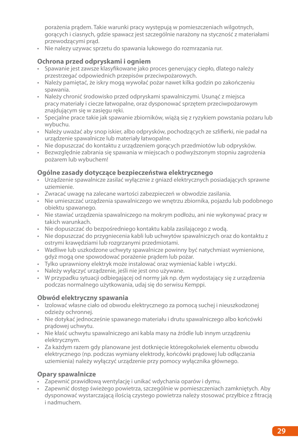porażenia prądem. Takie warunki pracy występują w pomieszczeniach wilgotnych, gorących i ciasnych, gdzie spawacz jest szczególnie narażony na styczność z materiałami przewodzącymi prąd.

• Nie nalezy uzywac sprzetu do spawania lukowego do rozmrazania rur.

#### **Ochrona przed odpryskami i ogniem**

- • Spawanie jest zawsze klasyfikowane jako proces generujący ciepło, dlatego należy przestrzegać odpowiednich przepisów przeciwpożarowych.
- • Należy pamiętać, że iskry mogą wywołać pożar nawet kilka godzin po zakończeniu spawania.
- • Należy chronić środowisko przed odpryskami spawalniczymi. Usunąć z miejsca pracy materiały i ciecze łatwopalne, oraz dysponować sprzętem przeciwpożarowym znajdującym się w zasięgu ręki.
- • Specjalne prace takie jak spawanie zbiorników, wiążą się z ryzykiem powstania pożaru lub wybuchu.
- • Należy uważać aby snop iskier, albo odprysków, pochodzących ze szlifierki, nie padał na urządzenie spawalnicze lub materiały łatwopalne.
- • Nie dopuszczać do kontaktu z urządzeniem gorących przedmiotów lub odprysków.
- • Bezwzględnie zabrania się spawania w miejscach o podwyższonym stopniu zagrożenia pożarem lub wybuchem!

#### **Ogólne zasady dotyczące bezpieczeństwa elektrycznego**

- • Urządzenie spawalnicze zasilać wyłącznie z gniazd elektrycznych posiadających sprawne uziemienie.
- • Zwracać uwagę na zalecane wartości zabezpieczeń w obwodzie zasilania.
- • Nie umieszczać urządzenia spawalniczego we wnętrzu zbiornika, pojazdu lub podobnego obiektu spawanego.
- • Nie stawiać urządzenia spawalniczego na mokrym podłożu, ani nie wykonywać pracy w takich warunkach.
- • Nie dopuszczać do bezpośredniego kontaktu kabla zasilającego z wodą.
- Nie dopuszczać do przygniecenia kabli lub uchwytów spawalniczych oraz do kontaktu z ostrymi krawędziami lub rozgrzanymi przedmiotami.
- Wadliwe lub uszkodzone uchwyty spawalnicze powinny być natychmiast wymienione, gdyż mogą one spowodować porażenie prądem lub pożar.
- • Tylko uprawniony elektryk może instalować oraz wymieniać kable i wtyczki.
- • Należy wyłączyć urządzenie, jeśli nie jest ono używane.
- • W przypadku sytuacji odbiegającej od normy jak np. dym wydostający się z urządzenia podczas normalnego użytkowania, udaj się do serwisu Kemppi.

#### **Obwód elektryczny spawania**

- • Izolować własne ciało od obwodu elektrycznego za pomocą suchej i nieuszkodzonej odzieży ochronnej.
- • Nie dotykać jednocześnie spawanego materiału i drutu spawalniczego albo końcówki prądowej uchwytu.
- • Nie kłaść uchwytu spawalniczego ani kabla masy na źródle lub innym urządzeniu elektrycznym.
- • Za każdym razem gdy planowane jest dotknięcie któregokolwiek elementu obwodu elektrycznego (np. podczas wymiany elektrody, końcówki prądowej lub odłączania uziemienia) należy wyłączyć urządzenie przy pomocy wyłącznika głównego.

#### **Opary spawalnicze**

- • Zapewnić prawidłową wentylację i unikać wdychania oparów i dymu.
- • Zapewnić dostęp świeżego powietrza, szczególnie w pomieszczeniach zamkniętych. Aby dysponować wystarczającą ilością czystego powietrza należy stosować przyłbice z fitracją i nadmuchem.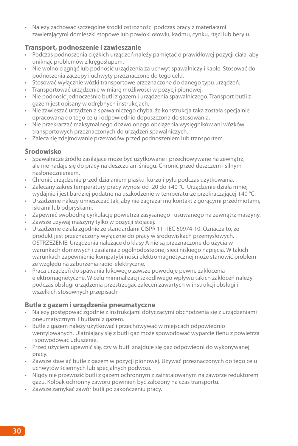• Należy zachować szczególne środki ostrożności podczas pracy z materiałami zawierającymi domieszki stopowe lub powłoki ołowiu, kadmu, cynku, rtęci lub berylu.

#### **Transport, podnoszenie i zawieszanie**

- • Podczas podnoszenia ciężkich urządzeń należy pamiętać o prawidłowej pozycji ciała, aby uniknąć problemów z kręgosłupem.
- • Nie wolno ciągnąć lub podnosić urządzenia za uchwyt spawalniczy i kable. Stosować do podnoszenia zaczepy i uchwyty przeznaczone do tego celu.
- • Stosować wyłącznie wózki transportowe przeznaczone do danego typu urządzeń.
- • Transportować urządzenie w miarę możliwości w pozycji pionowej.
- • Nie podnosić jednocześnie butli z gazem i urządzenia spawalniczego. Transport butli z gazem jest opisany w odrębnych instrukcjach.
- • Nie zawieszać urządzenia spawalniczego chyba, że konstrukcja taka została specjalnie opracowana do tego celu i odpowiednio dopuszczona do stosowania.
- • Nie przekraczać maksymalnego dozwolonego obciążenia wysięgników ani wózków transportowych przeznaczonych do urządzeń spawalniczych.
- • Zaleca się zdejmowanie przewodów przed podnoszeniem lub transportem.

#### **Środowisko**

- • Spawalnicze źródło zasilające może być użytkowane i przechowywane na zewnątrz, ale nie nadaje się do pracy na deszczu ani śniegu. Chronić przed deszczem i silnym nasłonecznieniem.
- • Chronić urządzenie przed działaniem piasku, kurzu i pyłu podczas użytkowania.
- • Zalecany zakres temperatury pracy wynosi od -20 do +40 °C. Urządzenie działa mniej wydajnie i jest bardziej podatne na uszkodzenie w temperaturze przekraczającej +40 °C.
- • Urządzenie należy umieszczać tak, aby nie zagrażał mu kontakt z gorącymi przedmiotami, iskrami lub odpryskami.
- • Zapewnić swobodną cyrkulację powietrza zasysanego i usuwanego na zewnątrz maszyny.
- • Zawsze używaj maszyny tylko w pozycji stojącej.
- • Urządzenie działa zgodnie ze standardami CISPR 11 i IEC 60974-10. Oznacza to, że produkt jest przeznaczony wyłącznie do pracy w środowiskach przemysłowych. OSTRZEŻENIE: Urządzenia należące do klasy A nie są przeznaczone do użycia w warunkach domowych i zasilania z ogólnodostępnej sieci niskiego napięcia. W takich warunkach zapewnienie kompatybilności elektromagnetycznej może stanowić problem ze względu na zaburzenia radio-elektryczne.
- • Praca urządzeń do spawania łukowego zawsze powoduje pewne zakłócenia elektromagnetyczne. W celu minimalizacji szkodliwego wpływu takich zakłóceń należy podczas obsługi urządzenia przestrzegać zaleceń zawartych w instrukcji obsługi i wszelkich stosownych przepisach

#### **Butle z gazem i urządzenia pneumatyczne**

- • Należy postępować zgodnie z instrukcjami dotyczącymi obchodzenia się z urządzeniami pneumatycznymi i butlami z gazem.
- • Butle z gazem należy użytkować i przechowywać w miejscach odpowiednio wentylowanych. Ulatniający się z butli gaz może spowodować wyparcie tlenu z powietrza i spowodować uduszenie.
- • Przed użyciem upewnić się, czy w butli znajduje się gaz odpowiedni do wykonywanej pracy.
- • Zawsze stawiać butle z gazem w pozycji pionowej. Używać przeznaczonych do tego celu uchwytów ściennych lub specjalnych podwozi.
- • Nigdy nie przewozić butli z gazem ochronnym z zainstalowanym na zaworze reduktorem gazu. Kołpak ochronny zaworu powinien być założony na czas transportu.
- • Zawsze zamykać zawór butli po zakończeniu pracy.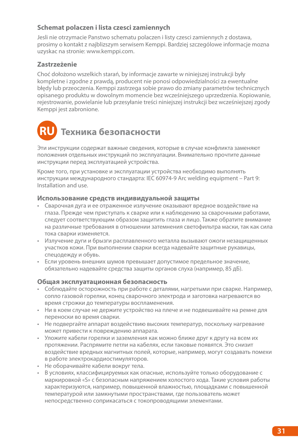### **Schemat polaczen i lista czesci zamiennych**

Jesli nie otrzymacie Panstwo schematu polaczen i listy czesci zamiennych z dostawa, prosimy o kontakt z najblizszym serwisem Kemppi. Bardziej szczególowe informacje mozna uzyskac na stronie: www.kemppi.com.

#### **Zastrzeżenie**

Choć dołożono wszelkich starań, by informacje zawarte w niniejszej instrukcji były kompletne i zgodne z prawdą, producent nie ponosi odpowiedzialności za ewentualne błędy lub przeoczenia. Kemppi zastrzega sobie prawo do zmiany parametrów technicznych opisanego produktu w dowolnym momencie bez wcześniejszego uprzedzenia. Kopiowanie, rejestrowanie, powielanie lub przesyłanie treści niniejszej instrukcji bez wcześniejszej zgody Kemppi jest zabronione.

## **RU Техника безопасности**

Эти инструкции содержат важные сведения, которые в случае конфликта заменяют положения отдельных инструкций по эксплуатации. Внимательно прочтите данные инструкции перед эксплуатацией устройства.

Кроме того, при установке и эксплуатации устройства необходимо выполнять инструкции международного стандарта: IEC 60974-9 Arc welding equipment – Part 9: Installation and use.

#### **Использование средств индивидуальной защиты**

- Сварочная дуга и ее отраженное излучение оказывают вредное воздействие на глаза. Прежде чем приступать к сварке или к наблюдению за сварочными работами, следует соответствующим образом защитить глаза и лицо. Также обратите внимание на различные требования в отношении затемнения светофильтра маски, так как сила тока сварки изменяется.
- • Излучение дуги и брызги расплавленного металла вызывают ожоги незащищенных участков кожи. При выполнении сварки всегда надевайте защитные рукавицы, спецодежду и обувь.
- • Если уровень внешних шумов превышает допустимое предельное значение, обязательно надевайте средства защиты органов слуха (например, 85 дБ).

#### **Общая эксплуатационная безопасность**

- • Соблюдайте осторожность при работе с деталями, нагретыми при сварке. Например, сопло газовой горелки, конец сварочного электрода и заготовка нагреваются во время строжки до температуры воспламенения.
- • Ни в коем случае не держите устройство на плече и не подвешивайте на ремне для переноски во время сварки.
- • Не подвергайте аппарат воздействию высоких температур, поскольку нагревание может привести к повреждению аппарата.
- Уложите кабели горелки и заземления как можно ближе друг к другу на всем их протяжении. Распрямите петли на кабелях, если таковые появятся. Это снизит воздействие вредных магнитных полей, которые, например, могут создавать помехи в работе электрокардиостимуляторов.
- Не оборачивайте кабели вокруг тела.
- • В условиях, классифицируемых как опасные, используйте только оборудование с маркировкой «S» с безопасным напряжением холостого хода. Такие условия работы характеризуются, например, повышенной влажностью, площадками с повышенной температурой или замкнутыми пространствами, где пользователь может непосредственно соприкасаться с токопроводящими элементами.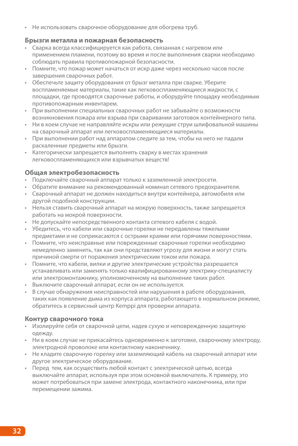• Не использовать сварочное оборудование для обогрева труб.

#### **Брызги металла и пожарная безопасность**

- Сварка всегда классифицируется как работа, связанная с нагревом или применением пламени, поэтому во время и после выполнения сварки необходимо соблюдать правила противопожарной безопасности.
- • Помните, что пожар может начаться от искр даже через несколько часов после завершения сварочных работ.
- • Обеспечьте защиту оборудования от брызг металла при сварке. Уберите воспламеняемые материалы, такие как легковоспламеняющиеся жидкости, с площадки, где проводятся сварочные работы, и оборудуйте площадку необходимым противопожарным инвентарем.
- При выполнении специальных сварочных работ не забывайте о возможности возникновения пожара или взрыва при сваривании заготовок контейнерного типа.
- • Ни в коем случае не направляйте искры или режущие струи шлифовальной машины на сварочный аппарат или легковоспламеняющиеся материалы.
- • При выполнении работ над аппаратом следите за тем, чтобы на него не падали раскаленные предметы или брызги.
- Категорически запрещается выполнять сварку в местах хранения легковоспламеняющихся или взрывчатых веществ!

#### **Общая электробезопасность**

- Подключайте сварочный аппарат только к заземленной электросети.
- • Обратите внимание на рекомендованный номинал сетевого предохранителя.
- • Сварочный аппарат не должен находиться внутри контейнера, автомобиля или другой подобной конструкции.
- • Нельзя ставить сварочный аппарат на мокрую поверхность, также запрещается работать на мокрой поверхности.
- Не допускайте непосредственного контакта сетевого кабеля с водой.
- Убедитесь, что кабели или сварочные горелки не передавлены тяжелыми предметами и не соприкасаются с острыми краями или горячими поверхностями.
- • Помните, что неисправные или поврежденные сварочные горелки необходимо немедленно заменить, так как они представляют угрозу для жизни и могут стать причиной смерти от поражения электрическим током или пожара.
- Помните, что кабели, вилки и другие электрические устройства разрешается устанавливать или заменять только квалифицированному электрику-специалисту или электромонтажнику, уполномоченному на выполнение таких работ.
- • Выключите сварочный аппарат, если он не используется.
- В случае обнаружения неисправностей или нарушения в работе оборудования, таких как появление дыма из корпуса аппарата, работающего в нормальном режиме, обратитесь в сервисный центр Kemppi для проверки аппарата.

#### **Контур сварочного тока**

- Изолируйте себя от сварочной цепи, надев сухую и неповрежденную защитную одежду.
- • Ни в коем случае не прикасайтесь одновременно к заготовке, сварочному электроду, электродной проволоке или контактному наконечнику.
- Не кладите сварочную горелку или заземляющий кабель на сварочный аппарат или другое электрическое оборудование.
- • Перед тем, как осуществить любой контакт с электрической цепью, всегда выключайте аппарат, используя при этом основной выключатель. К примеру, это может потребоваться при замене электрода, контактного наконечника, или при перемещении зажима.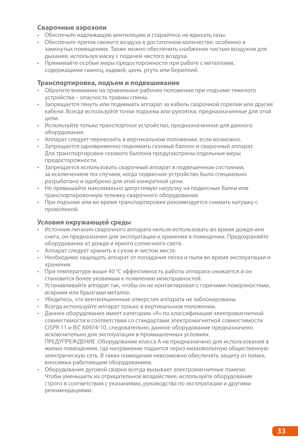#### **Сварочные аэрозоли**

- Обеспечьте надлежащую вентиляцию и старайтесь не вдыхать газы.
- • Обеспечьте приток свежего воздуха в достаточном количестве, особенно в замкнутых помещениях. Также можно обеспечить снабжение чистым воздухом для дыхания, используя маску с подачей чистого воздуха.
- • Принимайте особые меры предосторожности при работе с металлами, содержащими свинец, кадмий, цинк, ртуть или бериллий.

#### **Транспортировка, подъем и подвешивание**

- Обратите внимание на правильное рабочее положение при подъеме тяжелого устройства – опасность травмы спины.
- • Запрещается тянуть или поднимать аппарат за кабель сварочной горелки или другие кабели. Всегда используйте точки подъема или рукоятки, предназначенные для этой цели.
- • Используйте только транспортное устройство, предназначенное для данного оборудования.
- Аппарат следует перевозить в вертикальном положении, если возможно.
- • Запрещается одновременно поднимать газовый баллон и сварочный аппарат. Для транспортировки газового баллона предусмотрены отдельные меры предосторожности.
- • Запрещается использовать сварочный аппарат в подвешенном состоянии, за исключением тех случаев, когда подвесное устройство было специально разработано и одобрено для этой конкретной цели.
- • Не превышайте максимально допустимую нагрузку на подвесные балки или транспортировочную тележку сварочного оборудования.
- • При подъеме или во время транспортировки рекомендуется снимать катушку с проволокой.

#### **Условия окружающей среды**

- • Источник питания сварочного аппарата нельзя использовать во время дождя или снега, он предназначен для эксплуатации и хранения в помещении. Предохраняйте оборудование от дождя и яркого солнечного света.
- • Аппарат следует хранить в сухом и чистом месте.
- • Необходимо защищать аппарат от попадания песка и пыли во время эксплуатации и хранения.
- • При температуре выше 40 °C эффективность работы аппарата снижается и он становится более уязвимым к появлению неисправностей.
- • Устанавливайте аппарат так, чтобы он не контактировал с горячими поверхностями, искрами или брызгами металла.
- Убедитесь, что вентиляционные отверстия аппарата не заблокированы.
- • Всегда используйте аппарат только в вертикальном положении.
- • Данное оборудование имеет категорию «А» по классификации электромагнитной совместимости в соответствии со стандартами электромагнитной совместимости CISPR 11 и IEC 60974-10, следовательно, данное оборудование предназначено исключительно для эксплуатации в промышленных условиях. ПРЕДУПРЕЖДЕНИЕ .Оборудование класса A не предназначено для использования в жилых помещениях, где напряжение подается через низковольтную общественную электрическую сеть. В таких помещения невозможно обеспечить защиту от помех, вносимых работающим оборудованием.
- • Оборудование дуговой сварки всегда вызывает электромагнитные помехи. Чтобы уменьшить их отрицательное воздействие, используйте оборудование строго в соответствии с указаниями, руководства по эксплуатации и другими рекомендациями.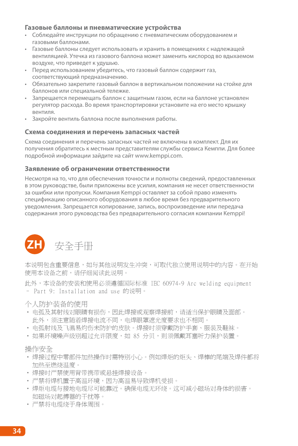#### **Газовые баллоны и пневматические устройства**

- • Соблюдайте инструкции по обращению с пневматическим оборудованием и газовыми баллонами.
- • Газовые баллоны следует использовать и хранить в помещениях с надлежащей вентиляцией. Утечка из газового баллона может заменить кислород во вдыхаемом воздухе, что приведет к удушью.
- Перед использованием убедитесь, что газовый баллон содержит газ, соответствующий предназначению.
- • Обязательно закрепите газовый баллон в вертикальном положении на стойке для баллонов или специальной тележке.
- • Запрещается перемещать баллон с защитным газом, если на баллоне установлен регулятор расхода. Во время транспортировки установите на его место крышку вентиля.
- • Закройте вентиль баллона после выполнения работы.

#### **Схема соединения и перечень запасных частей**

Схема соединения и перечень запасных частей не включены в комплект. Для их получения обратитесь к местным представителям службы сервиса Кемппи. Для более подробной информации зайдите на сайт www.kemppi.com.

#### **Заявление об ограничении ответственности**

Несмотря на то, что для обеспечения точности и полноты сведений, предоставленных в этом руководстве, были приложены все усилия, компания не несет ответственности за ошибки или пропуски. Компания Kemppi оставляет за собой право изменять спецификацию описанного оборудования в любое время без предварительного уведомления. Запрещается копирование, запись, воспроизведение или передача содержания этого руководства без предварительного согласия компании Kemppi!



本说明包含重要信息,如与其他说明发生冲突,可取代独立使用说明中的内容。在开始 使用本设备之前,请仔细阅读此说明。

此外,本设备的安装和使用必须遵循国际标准 IEC 60974-9 Arc welding equipment – Part 9: Installation and use 的说明。

个人防护装备的使用

- 电弧及其射线对眼睛有损伤,因此焊接或观察焊接前,请适当保护眼睛及面部。 此外,须注意随着焊接电流不同,电焊眼罩遮光度要求也不相同。
- 电弧射线及飞溅易灼伤未防护的皮肤。焊接时须穿戴防护手套、服装及鞋袜。
- 如果环境噪声级别超过介绍限度,如 85 分贝,则须佩戴耳塞听力保护装置。

操作安全

- 焊接过程中零部件加热操作时需特别小心。例如焊炬的炬头、焊棒的尾端及焊件都将 加热至燃烧温度。
- • 焊接时严禁使用背带携带或悬挂焊接设备。
- 严禁将焊机置于高温环境,因为高温易导致焊机受损。
- • 焊炬电缆与接地电缆尽可能靠近。确保电缆无环绕。这可减小磁场对身体的损害。 如磁场对起搏器的干扰等。
- • 严禁将电缆绕于身体周围。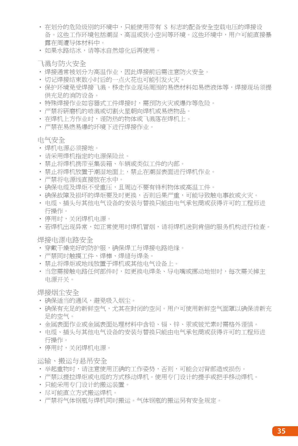- • 在划分的危险级别的环境中,只能使用带有 S 标志的配备安全空载电压的焊接设 备。这些工作环境包括潮湿、高温或狭小空间等环境。这些环境中,用户可能直接暴 露在周遭导体材料中。
- 加果水路结冰, 请等冰白然熔化后再使用。

飞溅与防火安全

- 焊接通常被划分为高温作业,因此焊接前后需注意防火安全。
- 切记焊接结束数小时后的一点火花也可能引发火灾。
- 保护环境受焊接飞溅。移走作业现场周围的易燃材料如易燃液体等,焊接现场须提 供充足的消防设备。
- 特殊焊接作业如容器式工件焊接时,需预防火灾或爆炸等危险。
- 严禁将研磨机的喷溅或切割火星朝向焊机或易燃物品。
- 在焊机上方作业时,谨防热的物体或飞溅落在焊机上。
- 严禁在易燃易爆的环境下进行焊接作业。

电气安全

- • 焊机电源必须接地。
- • 请采用焊机指定的电源保险丝。
- • 禁止将焊机携带至集装箱、车辆或类似工件的内部。
- 禁止将焊机放置于潮湿地面上,禁止在潮湿表面进行焊机作业。
- • 严禁将电源线直接放在水中。
- 确保由缩及焊炬不受重压,且周边不要有锋利物体或高温工件。
- 确保故障及损坏的焊炬要及时更换,否则后果严重,可能导致触电事故或火灾。
- 电缆、插头与其他电气设备的安装与替换只能由电气承包商或获得许可的工程师进 行操作。
- • 停用时,关闭焊机电源。
- 若焊机出现异常,如正常使用时焊机冒烟,请将焊机送到肯倍的服务机构进行检查。

焊接电源电路安全

- 穿戴干燥完好的防护服,确保焊工与焊接电路绝缘。
- 严禁同时触摸工件、焊棒、焊缝与焊条。
- 禁止将焊炬或地线放置于焊机或其他电气设备上。
- 当您需接触电路任何部件时,如更换电焊条、导电嘴或挪动地钳时,每次需关掉主 电源开关。

焊接烟尘安全

- 确保适当的通风,避免吸入烟尘。
- 确保有充足的新鲜空气,尤其在封闭的空间。用户可使用新鲜空气面罩以确保清新充 足的空气。
- • 金属表面作业或金属表面处理材料中含铅、镉、锌、汞或铍元素时需格外谨慎。
- 电缆、插头与其他电气设备的安装与替换只能由电气承包商或获得许可的工程师进 行操作。
- 停用时,关闭焊机电源。

运输、搬运与悬吊安全

- 举起重物时,请注意使用正确的工作姿势,否则,可能会对背部造成损伤。
- 严禁以提拉焊炬或电缆的方式移动焊机。使用专门设计的提手或把手移动焊机。
- 只能采用专门设计的搬运装置。
- • 尽可能直立方式搬运焊机。
- 严禁将气体钢瓶与焊机同时搬运。气体钢瓶的搬运另有安全规定。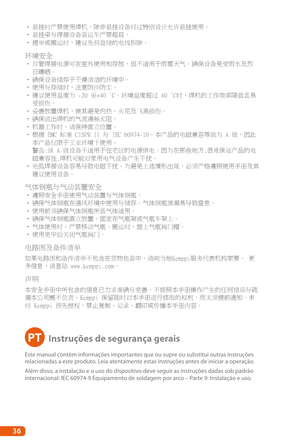- • 悬挂时严禁使用焊机,除非悬挂设备经过特别设计允许悬挂使用。
- • 悬挂梁与焊接设备装运车严禁超载。
- • 提举或搬运时,建议先将盘绕的电线拆除。

环境安全

- 尽管焊接电源可在室外使用和存放,但不适用于雨雪天气。确保设备免受雨水及烈 日曝晒。
- • 确保设备储存于干燥清洁的环境中。
- 使用与存储时, 注意防沙防尘。
- 建议使用温度为 -20 至+40 ℃。环境温度超过 40 ℃时,焊机的工作效率降低且易 受损伤。
- • 妥善放置焊机,使其避免灼热、火花及飞溅损伤。
- • 确保进出焊机的气流通畅无阻。
- 机器工作时,请保持直立位置。
- 根据 FMC 标准 CISPR 11 与 IEC 60974-10,本产品的电磁兼容等级为 A 级,因此 本产品仅限于工业环境下使用。 警告:该 A 级设备不适用于住宅区的电源供电。因为在那些地方,很难保证产品的电 磁兼容性,焊机可能对家用电气设备产生干扰。
- 电弧焊接设备容易导致电磁干扰。为避免上述情形出现,必须严格遵照使用手册及其 建议使用设备。

气体钢瓶与气动装置安全

- • 遵照安全手册使用气动装置与气体钢瓶。
- • 确保气体钢瓶在通风环境中使用与储存。气体钢瓶泄漏易导致窒息。
- • 使用前须确保气体钢瓶所装气体适用。
- 确保气体钢瓶直立放置, 固定在气瓶架或气瓶车架上。
- 气体使用时,严禁移动气瓶。搬运时,旋上气瓶阀门帽。
- • 使用完毕后关闭气瓶阀门。

#### 电路图及备件清单

如果电路图和备件清单不包含在货物包装中,请向当地Kemppi服务代表机构索要。 更 多信息,请登陆 www.kemppi.com。

声明

本安全手册中所包含的信息已力求准确与完善,不按照本手册操作产生的任何错误与疏 漏本公司概不负责。Kemppi 保留随时对本手册进行修改的权利,而无须提前通知。未 经 Kemppi 预先授权,禁止复制、记录、翻印或传播本手册内容。

### **PT Instruções de segurança gerais**

Este manual contém informações importantes que ou supre ou substitui outras instruções relacionadas a este produto. Leia atentamente estas instruções antes de iniciar a operação.

Além disso, a instalação e o uso do dispositivo deve seguir as instruções dadas sob padrão internacional: IEC 60974-9 Equipamento de soldagem por arco – Parte 9: Instalação e uso.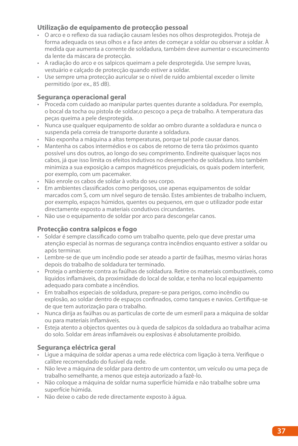#### **Utilização de equipamento de protecção pessoal**

- • O arco e o reflexo da sua radiação causam lesões nos olhos desprotegidos. Proteja de forma adequada os seus olhos e a face antes de começar a soldar ou observar a soldar. À medida que aumenta a corrente de soldadura, também deve aumentar o escurecimento da lente da máscara de protecção.
- • A radiação do arco e os salpicos queimam a pele desprotegida. Use sempre luvas, vestuário e calçado de protecção quando estiver a soldar.
- • Use sempre uma protecção auricular se o nível de ruído ambiental exceder o limite permitido (por ex., 85 dB).

#### **Segurança operacional geral**

- • Proceda com cuidado ao manipular partes quentes durante a soldadura. Por exemplo, o bocal da tocha ou pistola de soldar,o pescoço a peça de trabalho. A temperatura das peças queima a pele desprotegida.
- • Nunca use qualquer equipamento de soldar ao ombro durante a soldadura e nunca o suspenda pela correia de transporte durante a soldadura.
- • Não exponha a máquina a altas temperaturas, porque tal pode causar danos.
- • Mantenha os cabos intermédios e os cabos de retorno de terra tão próximos quanto possível uns dos outros, ao longo do seu comprimento. Endireite quaisquer laços nos cabos, já que isso limita os efeitos indutivos no desempenho de soldadura. Isto também minimiza a sua exposição a campos magnéticos prejudiciais, os quais podem interferir, por exemplo, com um pacemaker.
- • Não enrole os cabos de soldar à volta do seu corpo.
- • Em ambientes classificados como perigosos, use apenas equipamentos de soldar marcados com S, com um nível seguro de tensão. Estes ambientes de trabalho incluem, por exemplo, espaços húmidos, quentes ou pequenos, em que o utilizador pode estar directamente exposto a materiais condutivos circundantes.
- • Não use o equipamento de soldar por arco para descongelar canos.

#### **Protecção contra salpicos e fogo**

- • Soldar é sempre classificado como um trabalho quente, pelo que deve prestar uma atenção especial às normas de segurança contra incêndios enquanto estiver a soldar ou após terminar.
- • Lembre-se de que um incêndio pode ser ateado a partir de faúlhas, mesmo várias horas depois do trabalho de soldadura ter terminado.
- • Proteja o ambiente contra as faúlhas de soldadura. Retire os materiais combustíveis, como líquidos inflamáveis, da proximidade do local de soldar, e tenha no local equipamento adequado para combate a incêndios.
- • Em trabalhos especiais de soldadura, prepare-se para perigos, como incêndio ou explosão, ao soldar dentro de espaços confinados, como tanques e navios. Certifique-se de que tem autorização para o trabalho.
- • Nunca dirija as faúlhas ou as particulas de corte de um esmeril para a máquina de soldar ou para materiais inflamáveis.
- • Esteja atento a objectos quentes ou à queda de salpicos da soldadura ao trabalhar acima do solo. Soldar em áreas inflamáveis ou explosivas é absolutamente proibido.

#### **Segurança eléctrica geral**

- • Ligue a máquina de soldar apenas a uma rede eléctrica com ligação à terra. Verifique o calibre recomendado do fusível da rede.
- • Não leve a máquina de soldar para dentro de um contentor, um veículo ou uma peça de trabalho semelhante, a menos que esteja autorizado a fazê-lo.
- • Não coloque a máquina de soldar numa superfície húmida e não trabalhe sobre uma superfície húmida.
- • Não deixe o cabo de rede directamente exposto à água.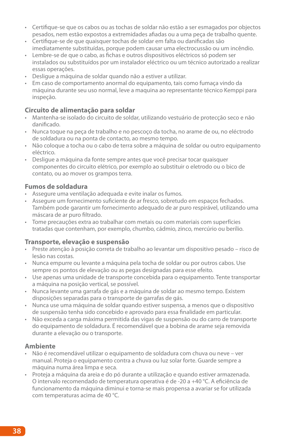- • Certifique-se que os cabos ou as tochas de soldar não estão a ser esmagados por objectos pesados, nem estão expostos a extremidades afiadas ou a uma peça de trabalho quente.
- • Certifique-se de que quaisquer tochas de soldar em falta ou danificadas são imediatamente substituídas, porque podem causar uma electrocussão ou um incêndio.
- • Lembre-se de que o cabo, as fichas e outros dispositivos eléctricos só podem ser instalados ou substituídos por um instalador eléctrico ou um técnico autorizado a realizar essas operações.
- • Desligue a máquina de soldar quando não a estiver a utilizar.
- • Em caso de comportamento anormal do equipamento, tais como fumaça vindo da máquina durante seu uso normal, leve a maquina ao representante técnico Kemppi para inspeção.

#### **Circuito de alimentação para soldar**

- • Mantenha-se isolado do circuito de soldar, utilizando vestuário de protecção seco e não danificado.
- • Nunca toque na peça de trabalho e no pescoço da tocha, no arame de ou, no eléctrodo de soldadura ou na ponta de contacto, ao mesmo tempo.
- • Não coloque a tocha ou o cabo de terra sobre a máquina de soldar ou outro equipamento eléctrico.
- Deslique a máquina da fonte sempre antes que você precisar tocar quaisquer componentes do circuito elétrico, por exemplo ao substituir o eletrodo ou o bico de contato, ou ao mover os grampos terra.

#### **Fumos de soldadura**

- • Assegure uma ventilação adequada e evite inalar os fumos.
- • Assegure um fornecimento suficiente de ar fresco, sobretudo em espaços fechados. Também pode garantir um fornecimento adequado de ar puro respirável, utilizando uma máscara de ar puro filtrado.
- • Tome precauções extra ao trabalhar com metais ou com materiais com superfícies tratadas que contenham, por exemplo, chumbo, cádmio, zinco, mercúrio ou berílio.

#### **Transporte, elevação e suspensão**

- • Preste atenção à posição correta de trabalho ao levantar um dispositivo pesado risco de lesão nas costas.
- • Nunca empurre ou levante a máquina pela tocha de soldar ou por outros cabos. Use sempre os pontos de elevação ou as pegas designadas para esse efeito.
- • Use apenas uma unidade de transporte concebida para o equipamento. Tente transportar a máquina na posição vertical, se possível.
- • Nunca levante uma garrafa de gás e a máquina de soldar ao mesmo tempo. Existem disposições separadas para o transporte de garrafas de gás.
- • Nunca use uma máquina de soldar quando estiver suspensa, a menos que o dispositivo de suspensão tenha sido concebido e aprovado para essa finalidade em particular.
- • Não exceda a carga máxima permitida das vigas de suspensão ou do carro de transporte do equipamento de soldadura. É recomendável que a bobina de arame seja removida durante a elevação ou o transporte.

#### **Ambiente**

- • Não é recomendável utilizar o equipamento de soldadura com chuva ou neve ver manual. Proteja o equipamento contra a chuva ou luz solar forte. Guarde sempre a máquina numa área limpa e seca.
- • Proteja a máquina da areia e do pó durante a utilização e quando estiver armazenada. O intervalo recomendado de temperatura operativa é de -20 a +40 °C. A eficiência de funcionamento da máquina diminui e torna-se mais propensa a avariar se for utilizada com temperaturas acima de 40 °C.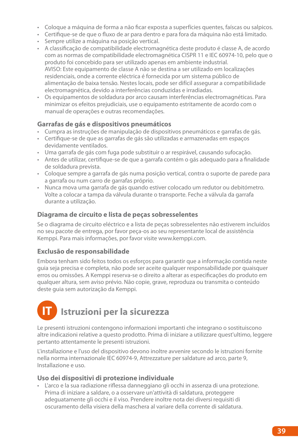- • Coloque a máquina de forma a não ficar exposta a superfícies quentes, faíscas ou salpicos.
- • Certifique-se de que o fluxo de ar para dentro e para fora da máquina não está limitado.
- • Sempre utilize a máquina na posição vertical.
- • A classificação de compatibilidade electromagnética deste produto é classe A, de acordo com as normas de compatibilidade electromagnética CISPR 11 e IEC 60974-10, pelo que o produto foi concebido para ser utilizado apenas em ambiente industrial. AVISO: Este equipamento de classe A não se destina a ser utilizado em localizações residenciais, onde a corrente eléctrica é fornecida por um sistema público de alimentação de baixa tensão. Nestes locais, pode ser difícil assegurar a compatibilidade electromagnética, devido a interferências conduzidas e irradiadas.
- • Os equipamentos de soldadura por arco causam interferências electromagnéticas. Para minimizar os efeitos prejudiciais, use o equipamento estritamente de acordo com o manual de operações e outras recomendações.

#### **Garrafas de gás e dispositivos pneumáticos**

- • Cumpra as instruções de manipulação de dispositivos pneumáticos e garrafas de gás.
- • Certifique-se de que as garrafas de gás são utilizadas e armazenadas em espaços devidamente ventilados.
- • Uma garrafa de gás com fuga pode substituir o ar respirável, causando sufocação.
- • Antes de utilizar, certifique-se de que a garrafa contém o gás adequado para a finalidade de soldadura prevista.
- • Coloque sempre a garrafa de gás numa posição vertical, contra o suporte de parede para a garrafa ou num carro de garrafas próprio.
- • Nunca mova uma garrafa de gás quando estiver colocado um redutor ou debitómetro. Volte a colocar a tampa da válvula durante o transporte. Feche a válvula da garrafa durante a utilização.

#### **Diagrama de circuito e lista de peças sobresselentes**

Se o diagrama de circuito eléctrico e a lista de peças sobresselentes não estiverem incluídos no seu pacote de entrega, por favor peça-os ao seu representante local de assistência Kemppi. Para mais informações, por favor visite www.kemppi.com.

#### **Exclusão de responsabilidade**

Embora tenham sido feitos todos os esforços para garantir que a informação contida neste guia seja precisa e completa, não pode ser aceite qualquer responsabilidade por quaisquer erros ou omissões. A Kemppi reserva-se o direito a alterar as especificações do produto em qualquer altura, sem aviso prévio. Não copie, grave, reproduza ou transmita o conteúdo deste guia sem autorização da Kemppi.

# **Istruzioni per la sicurezza**

Le presenti istruzioni contengono informazioni importanti che integrano o sostituiscono altre indicazioni relative a questo prodotto. Prima di iniziare a utilizzare quest'ultimo, leggere pertanto attentamente le presenti istruzioni.

L'installazione e l'uso del dispositivo devono inoltre avvenire secondo le istruzioni fornite nella norma internazionale IEC 60974-9, Attrezzature per saldature ad arco, parte 9, Installazione e uso.

#### **Uso dei dispositivi di protezione individuale**

• L'arco e la sua radiazione riflessa danneggiano gli occhi in assenza di una protezione. Prima di iniziare a saldare, o a osservare un'attività di saldatura, proteggere adeguatamente gli occhi e il viso. Prendere inoltre nota dei diversi requisiti di oscuramento della visiera della maschera al variare della corrente di saldatura.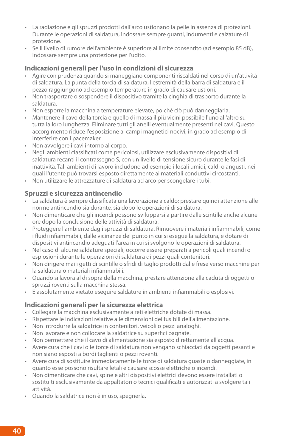- • La radiazione e gli spruzzi prodotti dall'arco ustionano la pelle in assenza di protezioni. Durante le operazioni di saldatura, indossare sempre guanti, indumenti e calzature di protezione.
- • Se il livello di rumore dell'ambiente è superiore al limite consentito (ad esempio 85 dB), indossare sempre una protezione per l'udito.

#### **Indicazioni generali per l'uso in condizioni di sicurezza**

- • Agire con prudenza quando si maneggiano componenti riscaldati nel corso di un'attività di saldatura. La punta della torcia di saldatura, l'estremità della barra di saldatura e il pezzo raggiungono ad esempio temperature in grado di causare ustioni.
- • Non trasportare o sospendere il dispositivo tramite la cinghia di trasporto durante la saldatura.
- • Non esporre la macchina a temperature elevate, poiché ciò può danneggiarla.
- • Mantenere il cavo della torcia e quello di massa il più vicini possibile l'uno all'altro su tutta la loro lunghezza. Eliminare tutti gli anelli eventualmente presenti nei cavi. Questo accorgimento riduce l'esposizione ai campi magnetici nocivi, in grado ad esempio di interferire con i pacemaker.
- • Non avvolgere i cavi intorno al corpo.
- • Negli ambienti classificati come pericolosi, utilizzare esclusivamente dispositivi di saldatura recanti il contrassegno S, con un livello di tensione sicuro durante le fasi di inattività. Tali ambienti di lavoro includono ad esempio i locali umidi, caldi o angusti, nei quali l'utente può trovarsi esposto direttamente ai materiali conduttivi circostanti.
- • Non utilizzare le attrezzature di saldatura ad arco per scongelare i tubi.

#### **Spruzzi e sicurezza antincendio**

- • La saldatura è sempre classificata una lavorazione a caldo; prestare quindi attenzione alle norme antincendio sia durante, sia dopo le operazioni di saldatura.
- • Non dimenticare che gli incendi possono svilupparsi a partire dalle scintille anche alcune ore dopo la conclusione delle attività di saldatura.
- • Proteggere l'ambiente dagli spruzzi di saldatura. Rimuovere i materiali infiammabili, come i fluidi infiammabili, dalle vicinanze del punto in cui si esegue la saldatura, e dotare di dispositivi antincendio adeguati l'area in cui si svolgono le operazioni di saldatura.
- • Nel caso di alcune saldature speciali, occorre essere preparati a pericoli quali incendi o esplosioni durante le operazioni di saldatura di pezzi quali contenitori.
- • Non dirigere mai i getti di scintille o sfridi di taglio prodotti dalle frese verso macchine per la saldatura o materiali infiammabili.
- • Quando si lavora al di sopra della macchina, prestare attenzione alla caduta di oggetti o spruzzi roventi sulla macchina stessa.
- • È assolutamente vietato eseguire saldature in ambienti infiammabili o esplosivi.

#### **Indicazioni generali per la sicurezza elettrica**

- • Collegare la macchina esclusivamente a reti elettriche dotate di massa.
- • Rispettare le indicazioni relative alle dimensioni dei fusibili dell'alimentazione.
- • Non introdurre la saldatrice in contenitori, veicoli o pezzi analoghi.
- • Non lavorare e non collocare la saldatrice su superfici bagnate.
- • Non permettere che il cavo di alimentazione sia esposto direttamente all'acqua.
- • Avere cura che i cavi o le torce di saldatura non vengano schiacciati da oggetti pesanti e non siano esposti a bordi taglienti o pezzi roventi.
- • Avere cura di sostituire immediatamente le torce di saldatura guaste o danneggiate, in quanto esse possono risultare letali e causare scosse elettriche o incendi.
- • Non dimenticare che cavi, spine e altri dispositivi elettrici devono essere installati o sostituiti esclusivamente da appaltatori o tecnici qualificati e autorizzati a svolgere tali attività.
- • Quando la saldatrice non è in uso, spegnerla.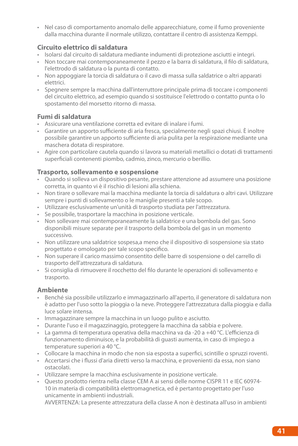• Nel caso di comportamento anomalo delle apparecchiature, come il fumo proveniente dalla macchina durante il normale utilizzo, contattare il centro di assistenza Kemppi.

#### **Circuito elettrico di saldatura**

- • Isolarsi dal circuito di saldatura mediante indumenti di protezione asciutti e integri.
- • Non toccare mai contemporaneamente il pezzo e la barra di saldatura, il filo di saldatura, l'elettrodo di saldatura o la punta di contatto.
- • Non appoggiare la torcia di saldatura o il cavo di massa sulla saldatrice o altri apparati elettrici.
- • Spegnere sempre la macchina dall'interruttore principale prima di toccare i componenti del circuito elettrico, ad esempio quando si sostituisce l'elettrodo o contatto punta o lo spostamento del morsetto ritorno di massa.

#### **Fumi di saldatura**

- • Assicurare una ventilazione corretta ed evitare di inalare i fumi.
- • Garantire un apporto sufficiente di aria fresca, specialmente negli spazi chiusi. È inoltre possibile garantire un apporto sufficiente di aria pulita per la respirazione mediante una maschera dotata di respiratore.
- • Agire con particolare cautela quando si lavora su materiali metallici o dotati di trattamenti superficiali contenenti piombo, cadmio, zinco, mercurio o berillio.

#### **Trasporto, sollevamento e sospensione**

- • Quando si solleva un dispositivo pesante, prestare attenzione ad assumere una posizione corretta, in quanto vi è il rischio di lesioni alla schiena.
- • Non tirare o sollevare mai la macchina mediante la torcia di saldatura o altri cavi. Utilizzare sempre i punti di sollevamento o le maniglie presenti a tale scopo.
- • Utilizzare esclusivamente un'unità di trasporto studiata per l'attrezzatura.
- • Se possibile, trasportare la macchina in posizione verticale.
- • Non sollevare mai contemporaneamente la saldatrice e una bombola del gas. Sono disponibili misure separate per il trasporto della bombola del gas in un momento successivo.
- • Non utilizzare una saldatrice sospesa,a meno che il dispositivo di sospensione sia stato progettato e omologato per tale scopo specifico.
- • Non superare il carico massimo consentito delle barre di sospensione o del carrello di trasporto dell'attrezzatura di saldatura.
- • Si consiglia di rimuovere il rocchetto del filo durante le operazioni di sollevamento e trasporto.

#### **Ambiente**

- • Benché sia possibile utilizzarlo e immagazzinarlo all'aperto, il generatore di saldatura non è adatto per l'uso sotto la pioggia o la neve. Proteggere l'attrezzatura dalla pioggia e dalla luce solare intensa.
- • Immagazzinare sempre la macchina in un luogo pulito e asciutto.
- • Durante l'uso e il magazzinaggio, proteggere la macchina da sabbia e polvere.
- • La gamma di temperatura operativa della macchina va da -20 a +40 °C. L'efficienza di funzionamento diminuisce, e la probabilità di guasti aumenta, in caso di impiego a temperature superiori a 40 °C.
- • Collocare la macchina in modo che non sia esposta a superfici, scintille o spruzzi roventi.
- • Accertarsi che i flussi d'aria diretti verso la macchina, e provenienti da essa, non siano ostacolati.
- • Utilizzare sempre la macchina esclusivamente in posizione verticale.
- • Questo prodotto rientra nella classe CEM A ai sensi delle norme CISPR 11 e IEC 60974- 10 in materia di compatibilità elettromagnetica, ed è pertanto progettato per l'uso unicamente in ambienti industriali.

AVVERTENZA: La presente attrezzatura della classe A non è destinata all'uso in ambienti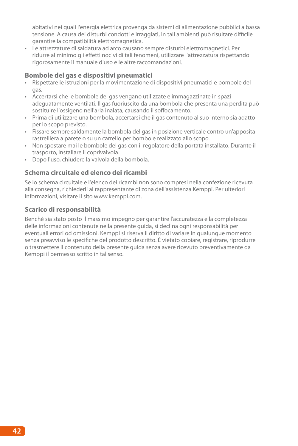abitativi nei quali l'energia elettrica provenga da sistemi di alimentazione pubblici a bassa tensione. A causa dei disturbi condotti e irraggiati, in tali ambienti può risultare difficile garantire la compatibilità elettromagnetica.

• Le attrezzature di saldatura ad arco causano sempre disturbi elettromagnetici. Per ridurre al minimo gli effetti nocivi di tali fenomeni, utilizzare l'attrezzatura rispettando rigorosamente il manuale d'uso e le altre raccomandazioni.

#### **Bombole del gas e dispositivi pneumatici**

- • Rispettare le istruzioni per la movimentazione di dispositivi pneumatici e bombole del gas.
- • Accertarsi che le bombole del gas vengano utilizzate e immagazzinate in spazi adeguatamente ventilati. Il gas fuoriuscito da una bombola che presenta una perdita può sostituire l'ossigeno nell'aria inalata, causando il soffocamento.
- • Prima di utilizzare una bombola, accertarsi che il gas contenuto al suo interno sia adatto per lo scopo previsto.
- • Fissare sempre saldamente la bombola del gas in posizione verticale contro un'apposita rastrelliera a parete o su un carrello per bombole realizzato allo scopo.
- • Non spostare mai le bombole del gas con il regolatore della portata installato. Durante il trasporto, installare il coprivalvola.
- • Dopo l'uso, chiudere la valvola della bombola.

#### **Schema circuitale ed elenco dei ricambi**

Se lo schema circuitale e l'elenco dei ricambi non sono compresi nella confezione ricevuta alla consegna, richiederli al rappresentante di zona dell'assistenza Kemppi. Per ulteriori informazioni, visitare il sito www.kemppi.com.

#### **Scarico di responsabilità**

Benché sia stato posto il massimo impegno per garantire l'accuratezza e la completezza delle informazioni contenute nella presente guida, si declina ogni responsabilità per eventuali errori od omissioni. Kemppi si riserva il diritto di variare in qualunque momento senza preavviso le specifiche del prodotto descritto. È vietato copiare, registrare, riprodurre o trasmettere il contenuto della presente guida senza avere ricevuto preventivamente da Kemppi il permesso scritto in tal senso.